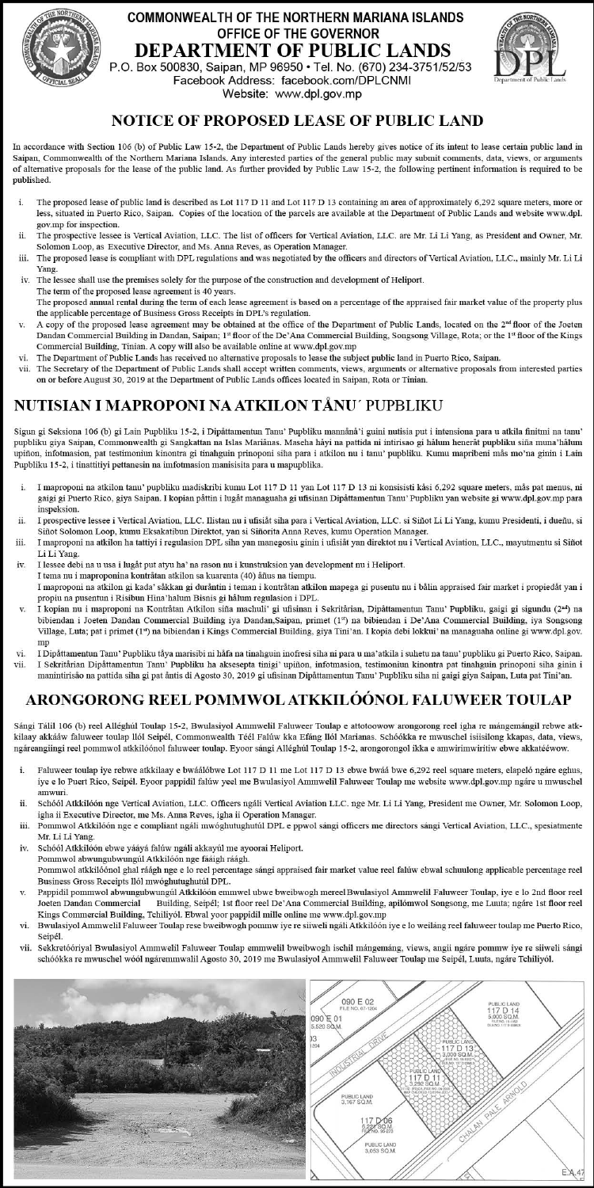## **COMMONWEALTH OF THE NORTHERN MARIANA ISLANDS** OFFICE OF THE GOVERNOR **DEPARTMENT OF PUBLIC LANDS**

P.O. Box 500830, Saipan, MP 96950 · Tel. No. (670) 234-3751/52/53 Facebook Address: facebook.com/DPLCNMI Website: www.dpl.gov.mp



## **NOTICE OF PROPOSED LEASE OF PUBLIC LAND**

In accordance with Section 106 (b) of Public Law 15-2, the Department of Public Lands hereby gives notice of its intent to lease certain public land in Saipan, Commonwealth of the Northern Mariana Islands. Any interested parties of the general public may submit comments, data, views, or arguments of alternative proposals for the lease of the public land. As further provided by Public Law 15-2, the following pertinent information is required to be published.

- i. The proposed lease of public land is described as Lot 117 D 11 and Lot 117 D 13 containing an area of approximately 6,292 square meters, more or less, situated in Puerto Rico, Saipan. Copies of the location of the parcels are available at the Department of Public Lands and website www.dpl. gov.mp for inspection.
- The prospective lessee is Vertical Aviation, LLC. The list of officers for Vertical Aviation, LLC. are Mr. Li Li Yang, as President and Owner. Mr. ii. Solomon Loop, as Executive Director, and Ms. Anna Reves, as Operation Manager.
- The proposed lease is compliant with DPL regulations and was negotiated by the officers and directors of Vertical Aviation, LLC., mainly Mr. Li Li iii. Yang.
- iv. The lessee shall use the premises solely for the purpose of the construction and development of Heliport. The term of the proposed lease agreement is 40 years. The proposed annual rental during the term of each lease agreement is based on a percentage of the appraised fair market value of the property plus
- the applicable percentage of Business Gross Receipts in DPL's regulation. A copy of the proposed lease agreement may be obtained at the office of the Department of Public Lands, located on the 2<sup>nd</sup> floor of the Joeten
- Dandan Commercial Building in Dandan, Saipan; 1st floor of the De'Ana Commercial Building, Songsong Village, Rota; or the 1st floor of the Kings Commercial Building, Tinian. A copy will also be available online at www.dpl.gov.mp The Department of Public Lands has received no alternative proposals to lease the subject public land in Puerto Rico, Saipan. vi.
- 
- The Secretary of the Department of Public Lands shall accept written comments, views, arguments or alternative proposals from interested parties on or before August 30, 2019 at the Department of Public Lands offices located in Saipan, Rota or Tinian.

## NUTISIAN I MAPROPONI NA ATKILON TÅNU′ PUPBLIKU

Sigun gi Seksiona 106 (b) gi Lain Pupbliku 15-2, i Dipåttamentun Tanu' Pupbliku mannånå'i guini nutisia put i intensiona para u atkila finitmi na tanu' pupbliku giya Saipan, Commonwealth gi Sangkattan na Islas Mariånas. Maseha håyi na pattida ni intirisao gi hålum heneråt pupbliku siña muna'hålum upiñon, infotmasion, pat testimoniun kinontra gi tinahguin prinoponi siha para i atkilon nu i tanu' pupbliku. Kumu mapribeni mås mo'na ginin i Lain Pupbliku 15-2, i tinattitiyi pettanesin na imfotmasion manisisita para u mapupblika.

- I maproponi na atkilon tanu' pupbliku madiskribi kumu Lot 117 D 11 yan Lot 117 D 13 ni konsisisti kåsi 6,292 square meters, mås pat menus, ni i. gaigi gi Puerto Rico, giya Saipan. I kopian påttin i lugåt managuaha gi ufisinan Dipåttamentun Tanu' Pupbliku yan website gi www.dpl.gov.mp para inspeksion.
- I prospective lessee i Vertical Aviation, LLC, Ilistan nu i ufisiåt siha para i Vertical Aviation, LLC, si Siñot Li Li Yang, kumu Presidenti, i dueñu, si ii. Siñot Solomon Loop, kumu Eksakatibun Direktot, yan si Siñorita Anna Reves, kumu Operation Manager. iii. I maproponi na atkilon ha tattiyi i regulasion DPL siha yan manegosiu ginin i ufisiåt yan direktot nu i Vertical Aviation, LLC., mayutmentu si Siñot
- Li Li Yang.
- I lessee debi na u usa i lugåt put atvu ha' na rason nu i kunstruksion yan development nu i Heliport. iv. I tema nu i maproponina kontråtan atkilon sa kuarenta (40) åñus na tiempu.
- .<br>I maproponi na atkilon gi kada' såkkan gi duråntin i teman i kontråtan atkilon mapega gi pusentu nu i bålin appraised fair market i propiedåt yan i propiu na pusentun i Risibun Hina'halum Bisnis gi hålum regulasion i DPL.
- I kopian nu i maproponi na Kontråtan Atkilon siña machuli' gi ufisinan i Sekritårian, Dipåttamentun Tanu' Pupbliku, gaigi gi sigundu (2m) na v. bibiendan i Joeten Dandan Commercial Building iya Dandan,Saipan, primet (1<sup>24</sup>) na bibiendan i De'Ana Commercial Building, iya Songsong<br>Village, Luta; pat i primet (1<sup>24</sup>) na bibiendan i Kings Commercial Building, giya Tin mp
- I Dipåttamentun Tanu' Pupbliku tåya marisibi ni håfa na tinahguin inofresi siha ni para u ma'atkila i suhetu na tanu' pupbliku gi Puerto Rico, Saipan. vi. I Sekritårian Dipåttamentun Tanu' Pupbliku ha aksesepta tinigi' upiñon, infotmasion, testimoniun kinontra pat tinahguin prinoponi siha ginin i vii. manintirisão na pattida siha gi pat ântis di Agosto 30, 2019 gi ufisinan Dipåttamentun Tanu' Pupbliku siha ni gaigi giya Saipan, Luta pat Tini'an.

## <u>ARONGORONG REEL POMMWOL ATKKILÓÓNOL FALUWEER TOULAP</u>

Sángi Tálil 106 (b) reel Alléghúl Toulap 15-2, Bwulasiyol Ammwelil Faluweer Toulap e attotoowow arongorong reel igha re mángemángil rebwe atkkilaay akkááw faluweer toulap llól Seipél, Commonwealth Téél Falúw kka Efáng llól Marianas. Schóókka re mwuschel isiisilong kkapas, data, views, ngáreangiingi reel pommwol atkkilóónol faluweer toulap. Eyoor sángi Alléghúl Toulap 15-2, arongorongol ikka e amwirimwiritiw ebwe akkatééwow.

- i. Faluweer toulap iye rebwe atkkilaay e bwáálóbwe Lot 117 D 11 me Lot 117 D 13 ebwe bwáá bwe 6,292 reel square meters, elapeló ngáre eghus, iye e lo Puert Rico, Seipél. Eyoor pappidil falúw yeel me Bwulasiyol Ammwelil Faluweer Toulap me website www.dpl.gov.mp ngáre u mwuschel amwuri
- Schóól Atkkilóón nge Vertical Aviation, LLC. Officers ngáli Vertical Aviation LLC. nge Mr. Li Li Yang, President me Owner, Mr. Solomon Loop, ii. igha ii Executive Director, me Ms. Anna Reves, igha ii Operation Manager.
- iii. Pommwol Atkkilóón nge e compliant ngáli mwóghutughutúl DPL e ppwol sángi officers me directors sángi Vertical Aviation, LLC., spesiatmente Mr. Li Li Yang.
- iv. Schóól Atkkilóón ebwe yááyá falúw ngáli akkayúl me ayoorai Heliport. Pommwol abwungubwungúl Atkkilóón nge fááigh ráágh.
- Pommwol atkkilóónol ghal ráágh nge e lo reel percentage sángi appraised fair market value reel falúw ebwal schuulong applicable percentage reel Business Gross Receipts llól mwóghutughutúl DPL.
- Pappidil pommwol abwungubwungúl Atkkilóón emmwel ubwe bweibwogh mereel Bwulasiyol Ammwelil Faluweer Toulap, iye e lo 2nd floor reel Building, Seipél; 1st floor reel De'Ana Commercial Building, apilómwol Songsong, me Luuta; ngáre 1st floor reel Joeten Dandan Commercial Kings Commercial Building, Tchiliyól. Ebwal yoor pappidil mille online me www.dpl.gov.mp
- Bwulasiyol Ammwelil Faluweer Toulap rese bweibwogh pommw iye re siiweli ngáli Atkkilóón iye e lo weiláng reel faluweer toulap me Puerto Rico, vi. Seipél.
- Sekkretóóriyal Bwulasiyol Ammwelil Faluweer Toulap emmwelil bweibwogh ischil mángemáng, views, angii ngáre pommw iye re siiweli sángi vii. schóókka re mwuschel wóól ngáremmwalil Agosto 30, 2019 me Bwulasiyol Ammwelil Faluweer Toulap me Seipél, Luuta, ngáre Tchiliyól.

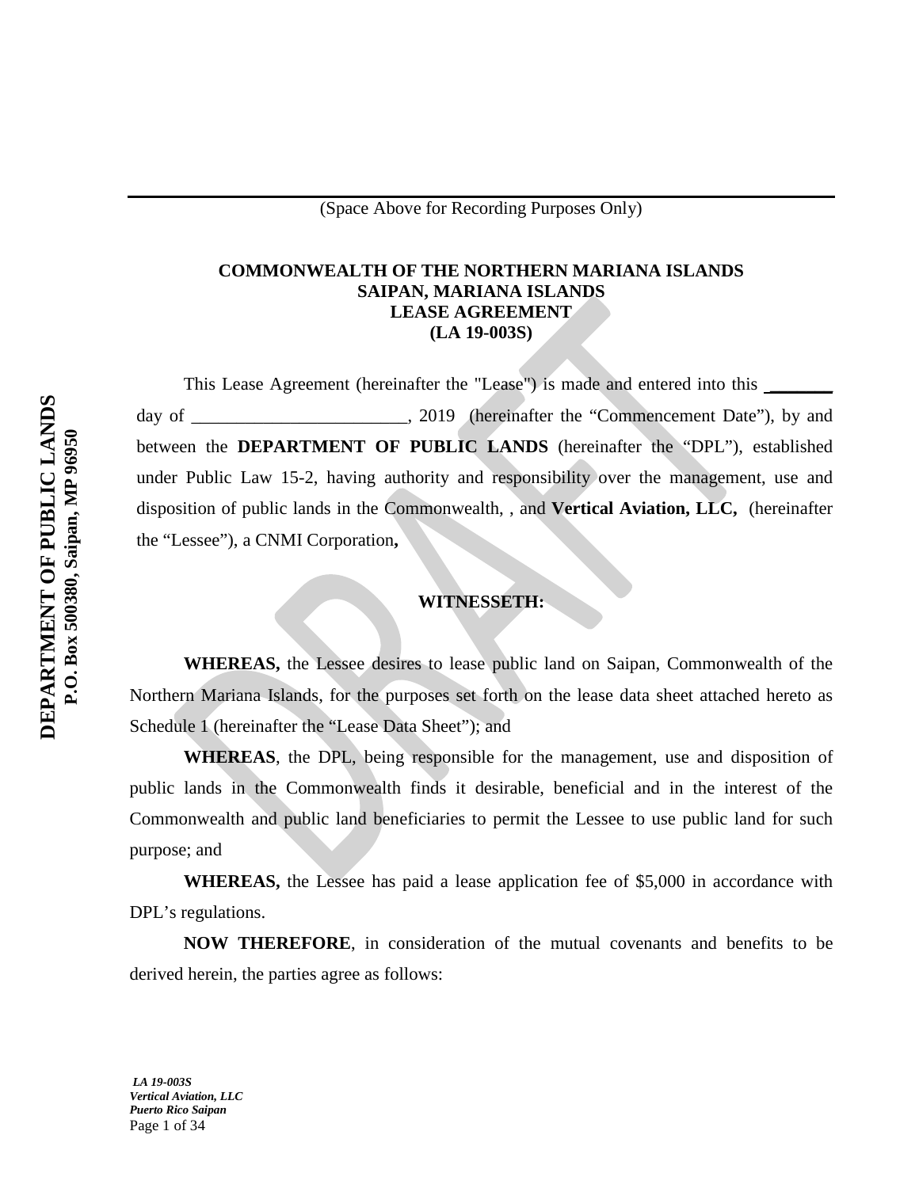## **COMMONWEALTH OF THE NORTHERN MARIANA ISLANDS SAIPAN, MARIANA ISLANDS LEASE AGREEMENT (LA 19-003S)**

This Lease Agreement (hereinafter the "Lease") is made and entered into this \_\_\_\_\_\_\_\_ day of \_\_\_\_\_\_\_\_\_\_\_\_\_\_\_\_\_\_\_\_\_\_\_\_, 2019 (hereinafter the "Commencement Date"), by and between the **DEPARTMENT OF PUBLIC LANDS** (hereinafter the "DPL"), established under Public Law 15-2, having authority and responsibility over the management, use and disposition of public lands in the Commonwealth, , and **Vertical Aviation, LLC,** (hereinafter the "Lessee"), a CNMI Corporation**,**

## **WITNESSETH:**

**WHEREAS,** the Lessee desires to lease public land on Saipan, Commonwealth of the Northern Mariana Islands, for the purposes set forth on the lease data sheet attached hereto as Schedule 1 (hereinafter the "Lease Data Sheet"); and

**WHEREAS**, the DPL, being responsible for the management, use and disposition of public lands in the Commonwealth finds it desirable, beneficial and in the interest of the Commonwealth and public land beneficiaries to permit the Lessee to use public land for such purpose; and

**WHEREAS,** the Lessee has paid a lease application fee of \$5,000 in accordance with DPL's regulations.

**NOW THEREFORE**, in consideration of the mutual covenants and benefits to be derived herein, the parties agree as follows: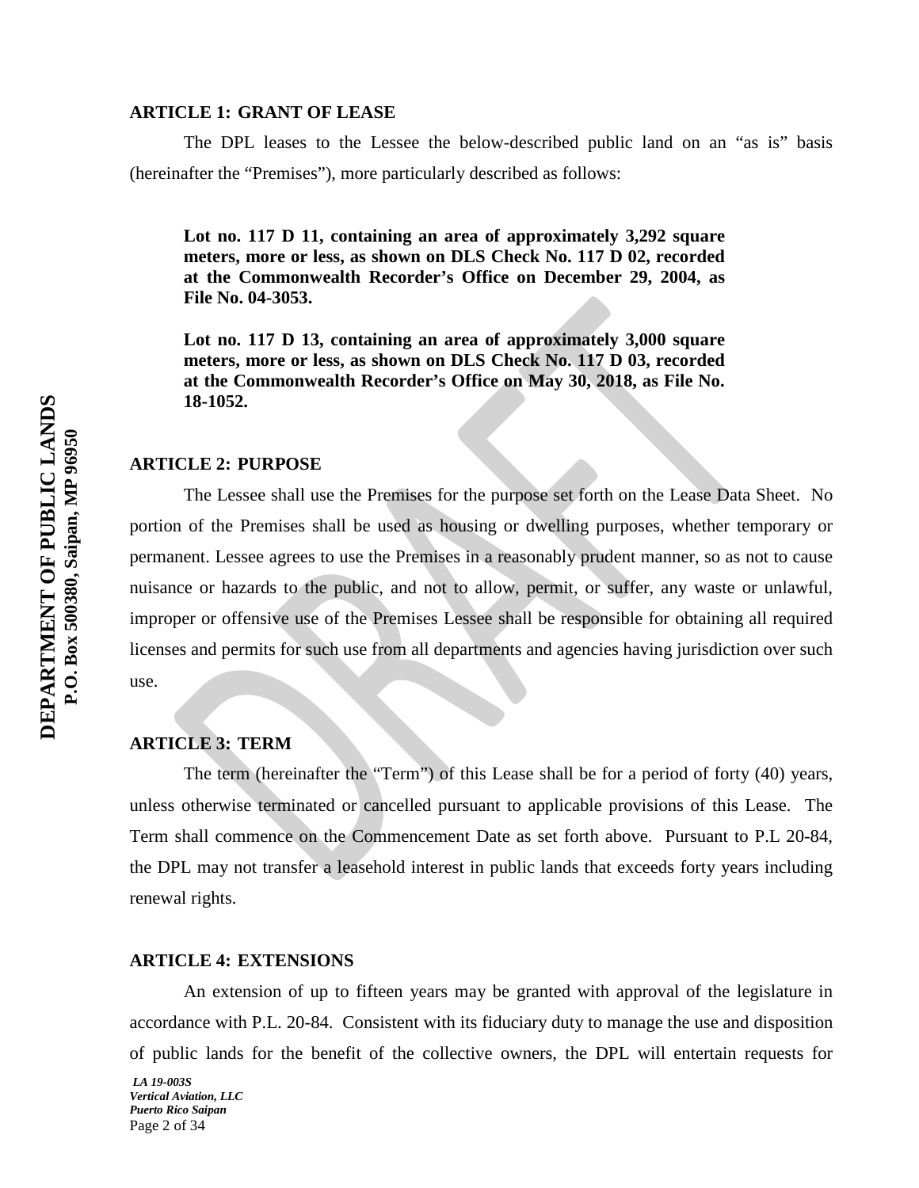## **ARTICLE 1: GRANT OF LEASE**

The DPL leases to the Lessee the below-described public land on an "as is" basis (hereinafter the "Premises"), more particularly described as follows:

**Lot no. 117 D 11, containing an area of approximately 3,292 square meters, more or less, as shown on DLS Check No. 117 D 02, recorded at the Commonwealth Recorder's Office on December 29, 2004, as File No. 04-3053.**

**Lot no. 117 D 13, containing an area of approximately 3,000 square meters, more or less, as shown on DLS Check No. 117 D 03, recorded at the Commonwealth Recorder's Office on May 30, 2018, as File No. 18-1052.**

#### **ARTICLE 2: PURPOSE**

The Lessee shall use the Premises for the purpose set forth on the Lease Data Sheet. No portion of the Premises shall be used as housing or dwelling purposes, whether temporary or permanent. Lessee agrees to use the Premises in a reasonably prudent manner, so as not to cause nuisance or hazards to the public, and not to allow, permit, or suffer, any waste or unlawful, improper or offensive use of the Premises Lessee shall be responsible for obtaining all required licenses and permits for such use from all departments and agencies having jurisdiction over such use.

## **ARTICLE 3: TERM**

The term (hereinafter the "Term") of this Lease shall be for a period of forty (40) years, unless otherwise terminated or cancelled pursuant to applicable provisions of this Lease. The Term shall commence on the Commencement Date as set forth above. Pursuant to P.L 20-84, the DPL may not transfer a leasehold interest in public lands that exceeds forty years including renewal rights.

## **ARTICLE 4: EXTENSIONS**

An extension of up to fifteen years may be granted with approval of the legislature in accordance with P.L. 20-84. Consistent with its fiduciary duty to manage the use and disposition of public lands for the benefit of the collective owners, the DPL will entertain requests for

*LA 19-003S Vertical Aviation, LLC Puerto Rico Saipan* Page 2 of 34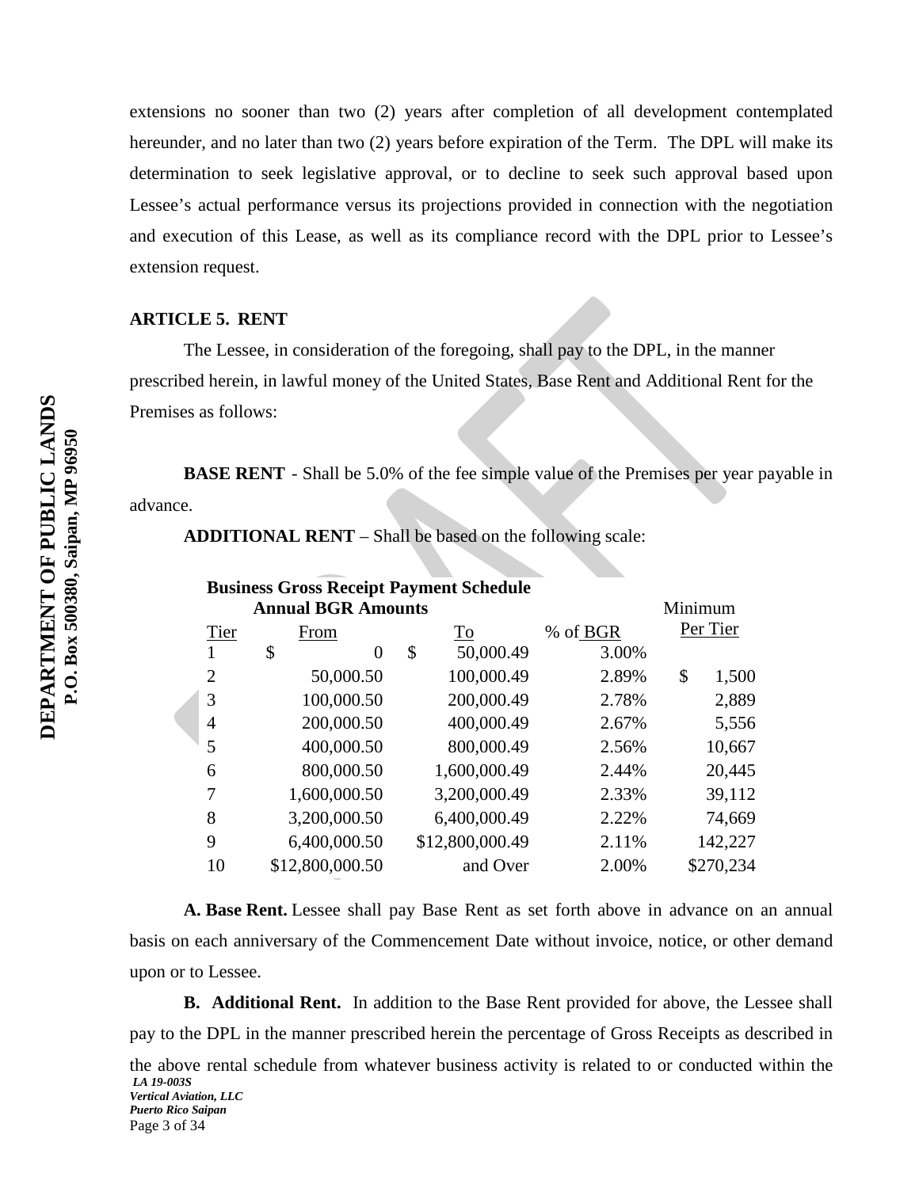extensions no sooner than two (2) years after completion of all development contemplated hereunder, and no later than two (2) years before expiration of the Term. The DPL will make its determination to seek legislative approval, or to decline to seek such approval based upon Lessee's actual performance versus its projections provided in connection with the negotiation and execution of this Lease, as well as its compliance record with the DPL prior to Lessee's extension request.

## **ARTICLE 5. RENT**

The Lessee, in consideration of the foregoing, shall pay to the DPL, in the manner prescribed herein, in lawful money of the United States, Base Rent and Additional Rent for the Premises as follows:

**BASE RENT** - Shall be 5.0% of the fee simple value of the Premises per year payable in advance.

**ADDITIONAL RENT** – Shall be based on the following scale:

| <b>Business Gross Receipt Payment Schedule</b> |                 |    |                 |          |          |           |  |  |
|------------------------------------------------|-----------------|----|-----------------|----------|----------|-----------|--|--|
| <b>Annual BGR Amounts</b>                      |                 |    |                 |          |          | Minimum   |  |  |
| Tier                                           | From            |    | To              | % of BGR | Per Tier |           |  |  |
|                                                | \$<br>$\Omega$  | \$ | 50,000.49       | 3.00%    |          |           |  |  |
| 2                                              | 50,000.50       |    | 100,000.49      | 2.89%    | \$       | 1,500     |  |  |
| 3                                              | 100,000.50      |    | 200,000.49      | 2.78%    |          | 2,889     |  |  |
| 4                                              | 200,000.50      |    | 400,000.49      | 2.67%    |          | 5,556     |  |  |
| 5                                              | 400,000.50      |    | 800,000.49      | 2.56%    |          | 10,667    |  |  |
| 6                                              | 800,000.50      |    | 1,600,000.49    | 2.44%    |          | 20,445    |  |  |
|                                                | 1,600,000.50    |    | 3,200,000.49    | 2.33%    |          | 39,112    |  |  |
| 8                                              | 3,200,000.50    |    | 6,400,000.49    | 2.22%    |          | 74,669    |  |  |
| 9                                              | 6,400,000.50    |    | \$12,800,000.49 | 2.11%    |          | 142,227   |  |  |
| 10                                             | \$12,800,000.50 |    | and Over        | 2.00%    |          | \$270,234 |  |  |

**A. Base Rent.** Lessee shall pay Base Rent as set forth above in advance on an annual basis on each anniversary of the Commencement Date without invoice, notice, or other demand upon or to Lessee.

**B. Additional Rent.** In addition to the Base Rent provided for above, the Lessee shall pay to the DPL in the manner prescribed herein the percentage of Gross Receipts as described in

*LA 19-003S Vertical Aviation, LLC Puerto Rico Saipan* the above rental schedule from whatever business activity is related to or conducted within the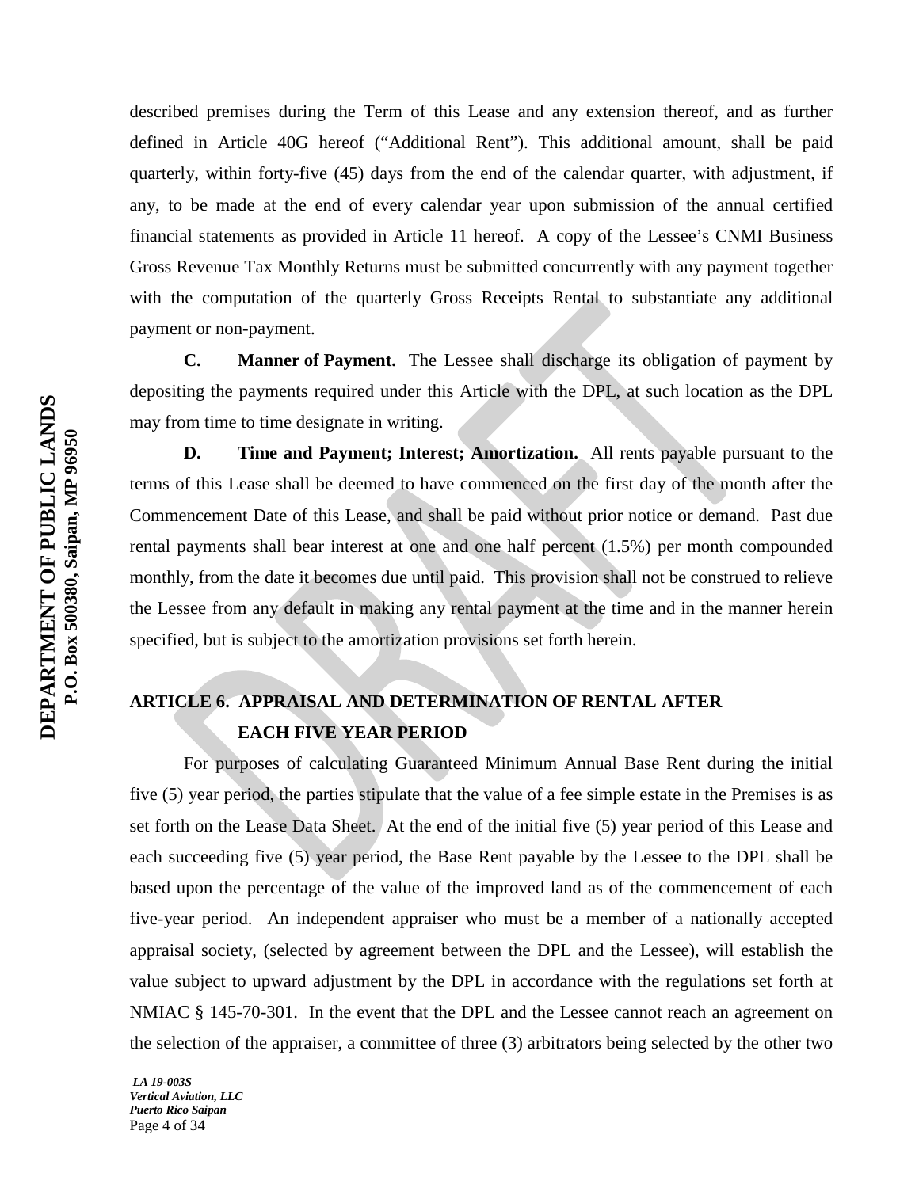described premises during the Term of this Lease and any extension thereof, and as further defined in Article 40G hereof ("Additional Rent"). This additional amount, shall be paid quarterly, within forty-five (45) days from the end of the calendar quarter, with adjustment, if any, to be made at the end of every calendar year upon submission of the annual certified financial statements as provided in Article 11 hereof. A copy of the Lessee's CNMI Business Gross Revenue Tax Monthly Returns must be submitted concurrently with any payment together with the computation of the quarterly Gross Receipts Rental to substantiate any additional payment or non-payment.

**C. Manner of Payment.** The Lessee shall discharge its obligation of payment by depositing the payments required under this Article with the DPL, at such location as the DPL may from time to time designate in writing.

**D. Time and Payment; Interest; Amortization.** All rents payable pursuant to the terms of this Lease shall be deemed to have commenced on the first day of the month after the Commencement Date of this Lease, and shall be paid without prior notice or demand. Past due rental payments shall bear interest at one and one half percent (1.5%) per month compounded monthly, from the date it becomes due until paid. This provision shall not be construed to relieve the Lessee from any default in making any rental payment at the time and in the manner herein specified, but is subject to the amortization provisions set forth herein.

## **ARTICLE 6. APPRAISAL AND DETERMINATION OF RENTAL AFTER EACH FIVE YEAR PERIOD**

For purposes of calculating Guaranteed Minimum Annual Base Rent during the initial five (5) year period, the parties stipulate that the value of a fee simple estate in the Premises is as set forth on the Lease Data Sheet. At the end of the initial five (5) year period of this Lease and each succeeding five (5) year period, the Base Rent payable by the Lessee to the DPL shall be based upon the percentage of the value of the improved land as of the commencement of each five-year period. An independent appraiser who must be a member of a nationally accepted appraisal society, (selected by agreement between the DPL and the Lessee), will establish the value subject to upward adjustment by the DPL in accordance with the regulations set forth at NMIAC § 145-70-301. In the event that the DPL and the Lessee cannot reach an agreement on the selection of the appraiser, a committee of three (3) arbitrators being selected by the other two

*LA 19-003S Vertical Aviation, LLC Puerto Rico Saipan* Page 4 of 34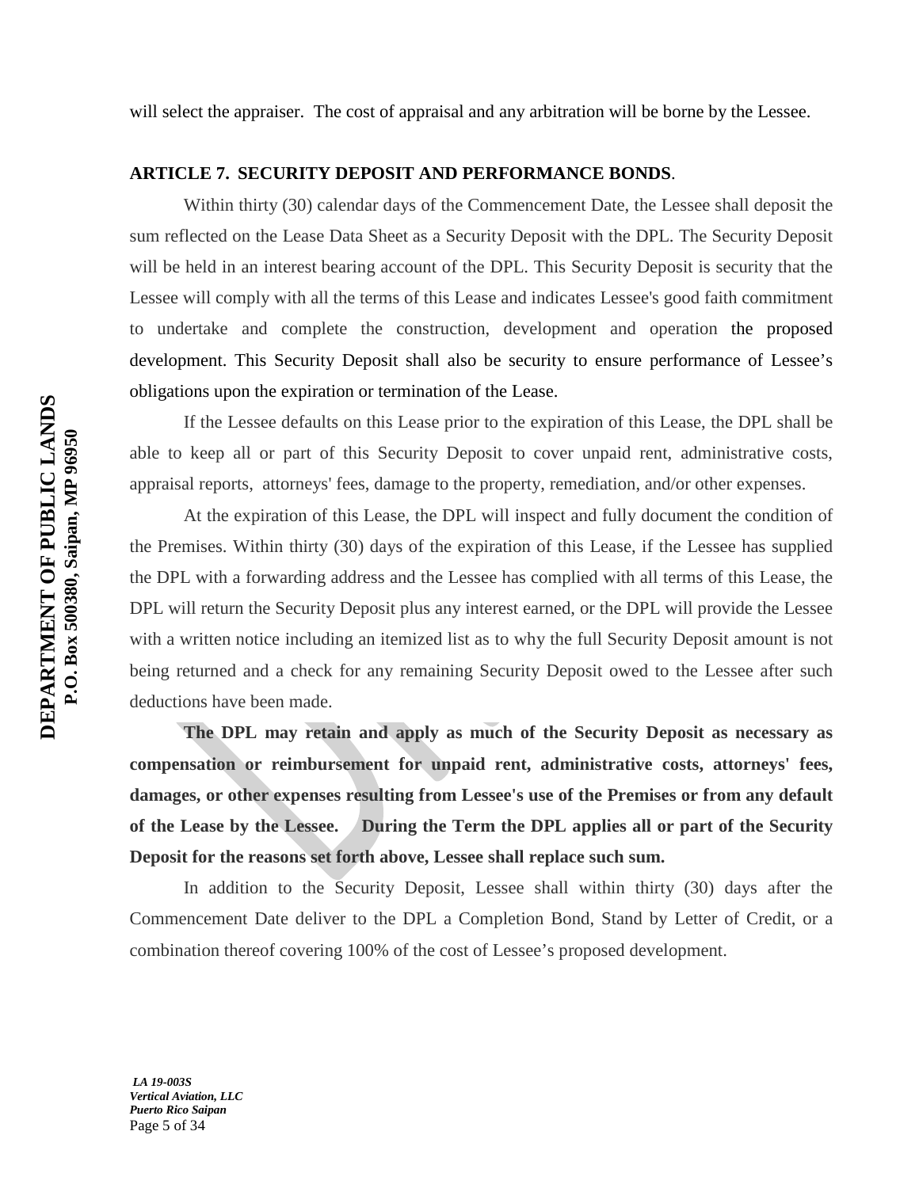## **ARTICLE 7. SECURITY DEPOSIT AND PERFORMANCE BONDS**.

Within thirty (30) calendar days of the Commencement Date, the Lessee shall deposit the sum reflected on the Lease Data Sheet as a Security Deposit with the DPL. The Security Deposit will be held in an interest bearing account of the DPL. This Security Deposit is security that the Lessee will comply with all the terms of this Lease and indicates Lessee's good faith commitment to undertake and complete the construction, development and operation the proposed development. This Security Deposit shall also be security to ensure performance of Lessee's obligations upon the expiration or termination of the Lease.

If the Lessee defaults on this Lease prior to the expiration of this Lease, the DPL shall be able to keep all or part of this Security Deposit to cover unpaid rent, administrative costs, appraisal reports, attorneys' fees, damage to the property, remediation, and/or other expenses.

At the expiration of this Lease, the DPL will inspect and fully document the condition of the Premises. Within thirty (30) days of the expiration of this Lease, if the Lessee has supplied the DPL with a forwarding address and the Lessee has complied with all terms of this Lease, the DPL will return the Security Deposit plus any interest earned, or the DPL will provide the Lessee with a written notice including an itemized list as to why the full Security Deposit amount is not being returned and a check for any remaining Security Deposit owed to the Lessee after such deductions have been made.

**The DPL may retain and apply as much of the Security Deposit as necessary as compensation or reimbursement for unpaid rent, administrative costs, attorneys' fees, damages, or other expenses resulting from Lessee's use of the Premises or from any default of the Lease by the Lessee. During the Term the DPL applies all or part of the Security Deposit for the reasons set forth above, Lessee shall replace such sum.**

In addition to the Security Deposit, Lessee shall within thirty (30) days after the Commencement Date deliver to the DPL a Completion Bond, Stand by Letter of Credit, or a combination thereof covering 100% of the cost of Lessee's proposed development.

*LA 19-003S Vertical Aviation, LLC Puerto Rico Saipan* Page 5 of 34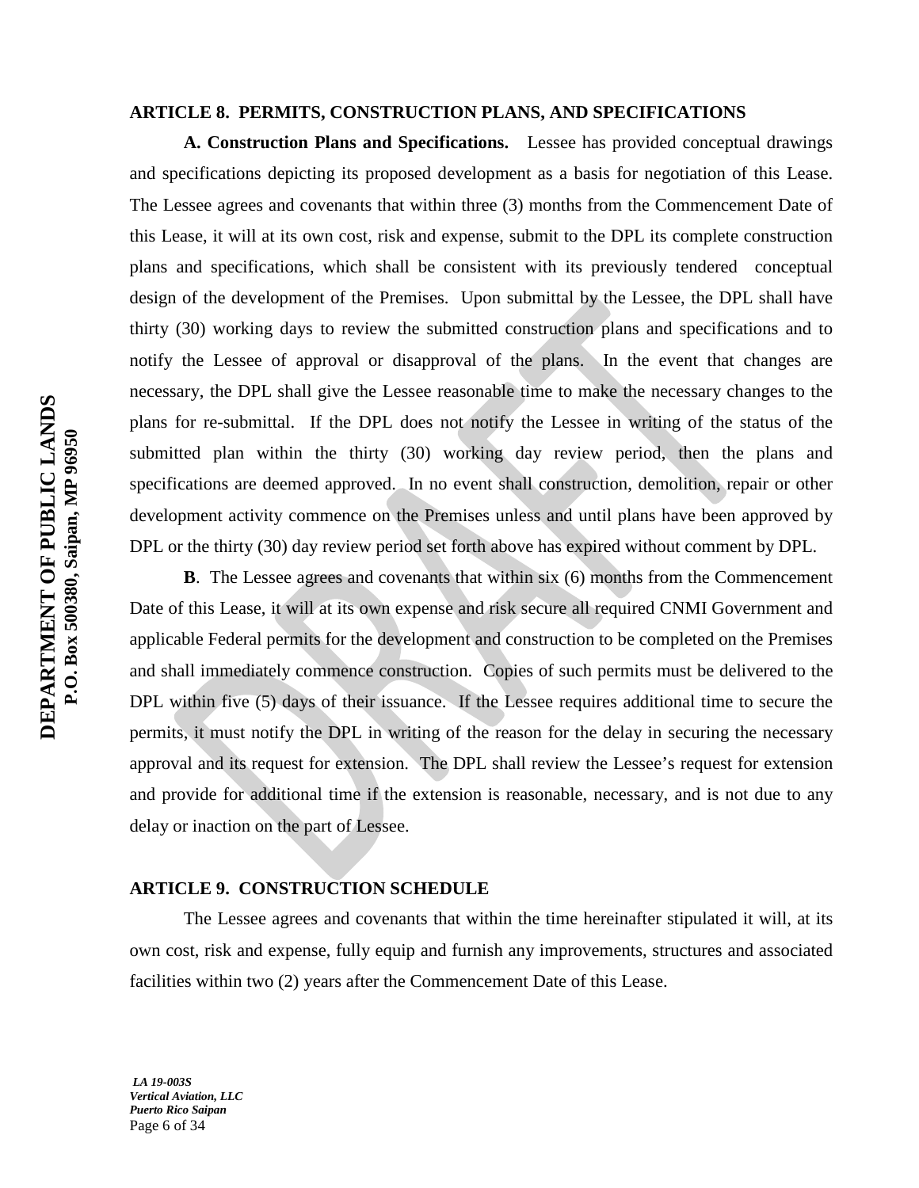## **ARTICLE 8. PERMITS, CONSTRUCTION PLANS, AND SPECIFICATIONS**

**A. Construction Plans and Specifications.** Lessee has provided conceptual drawings and specifications depicting its proposed development as a basis for negotiation of this Lease. The Lessee agrees and covenants that within three (3) months from the Commencement Date of this Lease, it will at its own cost, risk and expense, submit to the DPL its complete construction plans and specifications, which shall be consistent with its previously tendered conceptual design of the development of the Premises. Upon submittal by the Lessee, the DPL shall have thirty (30) working days to review the submitted construction plans and specifications and to notify the Lessee of approval or disapproval of the plans. In the event that changes are necessary, the DPL shall give the Lessee reasonable time to make the necessary changes to the plans for re-submittal. If the DPL does not notify the Lessee in writing of the status of the submitted plan within the thirty (30) working day review period, then the plans and specifications are deemed approved. In no event shall construction, demolition, repair or other development activity commence on the Premises unless and until plans have been approved by DPL or the thirty (30) day review period set forth above has expired without comment by DPL.

**B**. The Lessee agrees and covenants that within six (6) months from the Commencement Date of this Lease, it will at its own expense and risk secure all required CNMI Government and applicable Federal permits for the development and construction to be completed on the Premises and shall immediately commence construction. Copies of such permits must be delivered to the DPL within five (5) days of their issuance. If the Lessee requires additional time to secure the permits, it must notify the DPL in writing of the reason for the delay in securing the necessary approval and its request for extension. The DPL shall review the Lessee's request for extension and provide for additional time if the extension is reasonable, necessary, and is not due to any delay or inaction on the part of Lessee.

## **ARTICLE 9. CONSTRUCTION SCHEDULE**

The Lessee agrees and covenants that within the time hereinafter stipulated it will, at its own cost, risk and expense, fully equip and furnish any improvements, structures and associated facilities within two (2) years after the Commencement Date of this Lease.

*LA 19-003S Vertical Aviation, LLC Puerto Rico Saipan* Page 6 of 34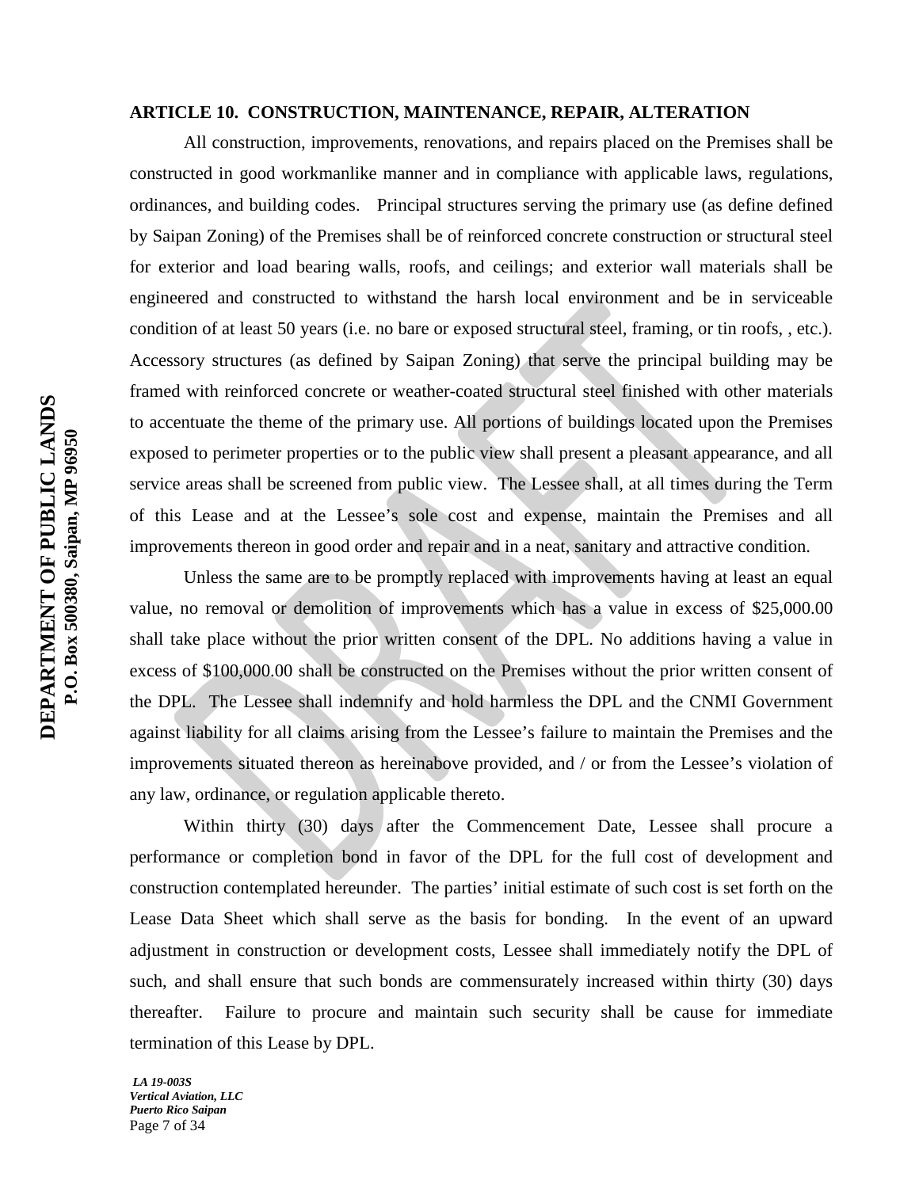## **ARTICLE 10. CONSTRUCTION, MAINTENANCE, REPAIR, ALTERATION**

All construction, improvements, renovations, and repairs placed on the Premises shall be constructed in good workmanlike manner and in compliance with applicable laws, regulations, ordinances, and building codes. Principal structures serving the primary use (as define defined by Saipan Zoning) of the Premises shall be of reinforced concrete construction or structural steel for exterior and load bearing walls, roofs, and ceilings; and exterior wall materials shall be engineered and constructed to withstand the harsh local environment and be in serviceable condition of at least 50 years (i.e. no bare or exposed structural steel, framing, or tin roofs, , etc.). Accessory structures (as defined by Saipan Zoning) that serve the principal building may be framed with reinforced concrete or weather-coated structural steel finished with other materials to accentuate the theme of the primary use. All portions of buildings located upon the Premises exposed to perimeter properties or to the public view shall present a pleasant appearance, and all service areas shall be screened from public view. The Lessee shall, at all times during the Term of this Lease and at the Lessee's sole cost and expense, maintain the Premises and all improvements thereon in good order and repair and in a neat, sanitary and attractive condition.

Unless the same are to be promptly replaced with improvements having at least an equal value, no removal or demolition of improvements which has a value in excess of \$25,000.00 shall take place without the prior written consent of the DPL. No additions having a value in excess of \$100,000.00 shall be constructed on the Premises without the prior written consent of the DPL. The Lessee shall indemnify and hold harmless the DPL and the CNMI Government against liability for all claims arising from the Lessee's failure to maintain the Premises and the improvements situated thereon as hereinabove provided, and / or from the Lessee's violation of any law, ordinance, or regulation applicable thereto.

Within thirty (30) days after the Commencement Date, Lessee shall procure a performance or completion bond in favor of the DPL for the full cost of development and construction contemplated hereunder. The parties' initial estimate of such cost is set forth on the Lease Data Sheet which shall serve as the basis for bonding. In the event of an upward adjustment in construction or development costs, Lessee shall immediately notify the DPL of such, and shall ensure that such bonds are commensurately increased within thirty (30) days thereafter. Failure to procure and maintain such security shall be cause for immediate termination of this Lease by DPL.

*LA 19-003S Vertical Aviation, LLC Puerto Rico Saipan* Page 7 of 34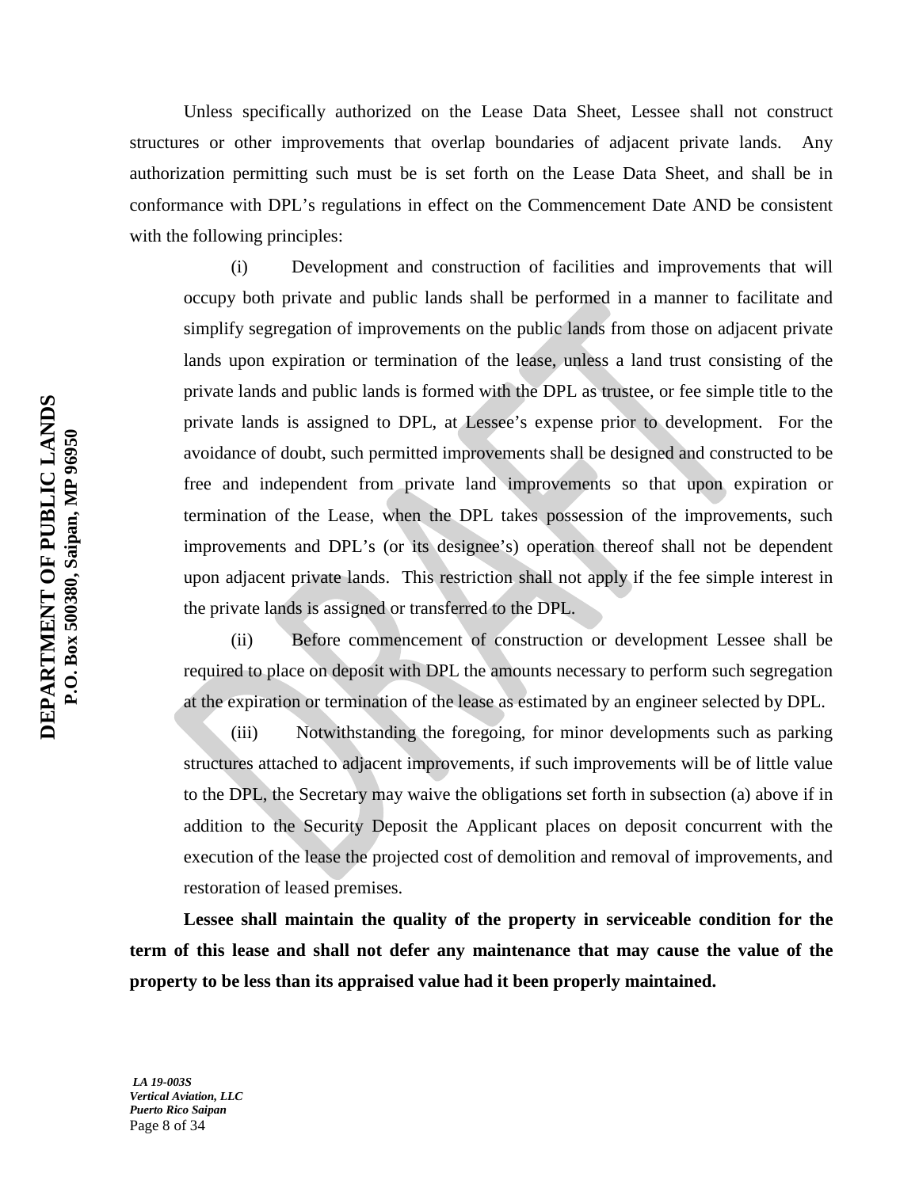Unless specifically authorized on the Lease Data Sheet, Lessee shall not construct structures or other improvements that overlap boundaries of adjacent private lands. Any authorization permitting such must be is set forth on the Lease Data Sheet, and shall be in conformance with DPL's regulations in effect on the Commencement Date AND be consistent with the following principles:

(i) Development and construction of facilities and improvements that will occupy both private and public lands shall be performed in a manner to facilitate and simplify segregation of improvements on the public lands from those on adjacent private lands upon expiration or termination of the lease, unless a land trust consisting of the private lands and public lands is formed with the DPL as trustee, or fee simple title to the private lands is assigned to DPL, at Lessee's expense prior to development. For the avoidance of doubt, such permitted improvements shall be designed and constructed to be free and independent from private land improvements so that upon expiration or termination of the Lease, when the DPL takes possession of the improvements, such improvements and DPL's (or its designee's) operation thereof shall not be dependent upon adjacent private lands. This restriction shall not apply if the fee simple interest in the private lands is assigned or transferred to the DPL.

(ii) Before commencement of construction or development Lessee shall be required to place on deposit with DPL the amounts necessary to perform such segregation at the expiration or termination of the lease as estimated by an engineer selected by DPL.

(iii) Notwithstanding the foregoing, for minor developments such as parking structures attached to adjacent improvements, if such improvements will be of little value to the DPL, the Secretary may waive the obligations set forth in subsection (a) above if in addition to the Security Deposit the Applicant places on deposit concurrent with the execution of the lease the projected cost of demolition and removal of improvements, and restoration of leased premises.

**Lessee shall maintain the quality of the property in serviceable condition for the term of this lease and shall not defer any maintenance that may cause the value of the property to be less than its appraised value had it been properly maintained.**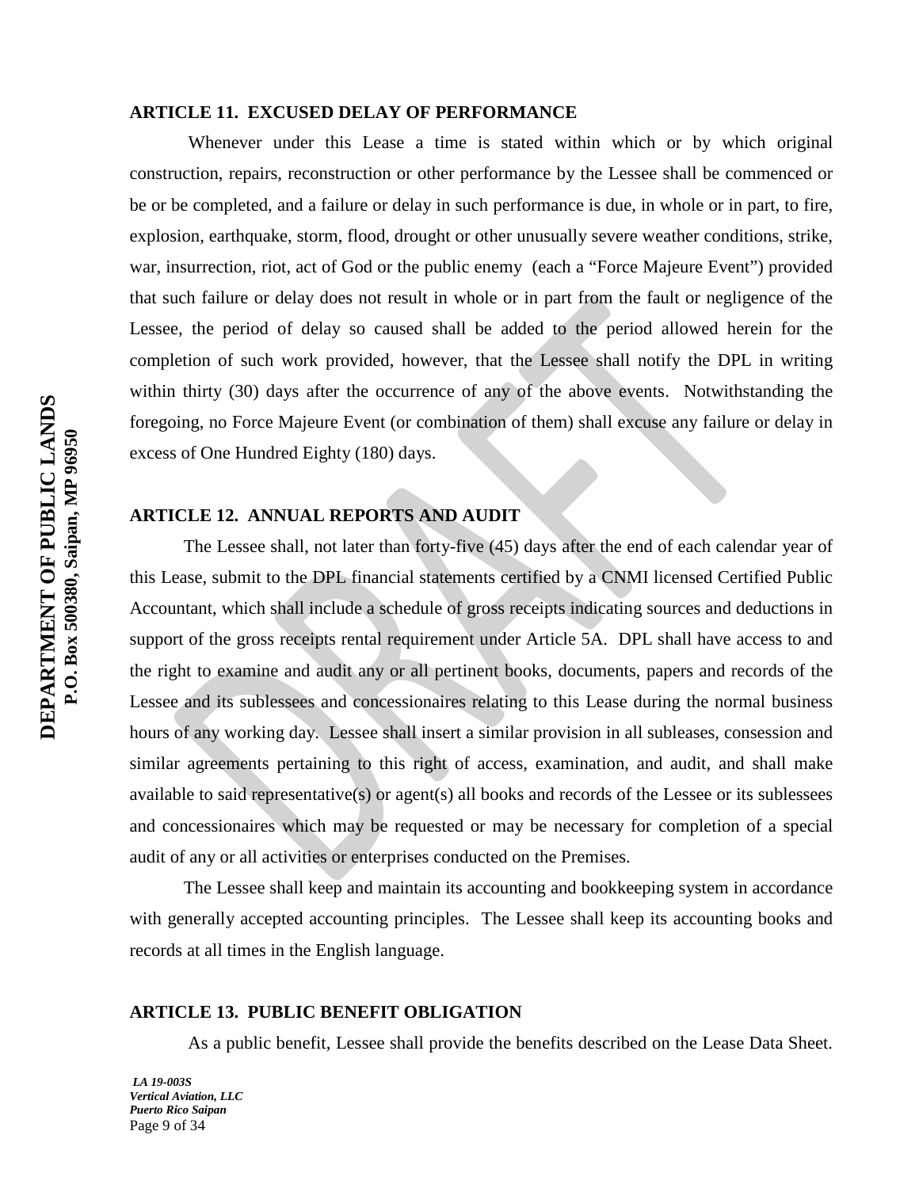## **ARTICLE 11. EXCUSED DELAY OF PERFORMANCE**

Whenever under this Lease a time is stated within which or by which original construction, repairs, reconstruction or other performance by the Lessee shall be commenced or be or be completed, and a failure or delay in such performance is due, in whole or in part, to fire, explosion, earthquake, storm, flood, drought or other unusually severe weather conditions, strike, war, insurrection, riot, act of God or the public enemy (each a "Force Majeure Event") provided that such failure or delay does not result in whole or in part from the fault or negligence of the Lessee, the period of delay so caused shall be added to the period allowed herein for the completion of such work provided, however, that the Lessee shall notify the DPL in writing within thirty (30) days after the occurrence of any of the above events. Notwithstanding the foregoing, no Force Majeure Event (or combination of them) shall excuse any failure or delay in excess of One Hundred Eighty (180) days.

## **ARTICLE 12. ANNUAL REPORTS AND AUDIT**

The Lessee shall, not later than forty-five (45) days after the end of each calendar year of this Lease, submit to the DPL financial statements certified by a CNMI licensed Certified Public Accountant, which shall include a schedule of gross receipts indicating sources and deductions in support of the gross receipts rental requirement under Article 5A. DPL shall have access to and the right to examine and audit any or all pertinent books, documents, papers and records of the Lessee and its sublessees and concessionaires relating to this Lease during the normal business hours of any working day. Lessee shall insert a similar provision in all subleases, consession and similar agreements pertaining to this right of access, examination, and audit, and shall make available to said representative(s) or agent(s) all books and records of the Lessee or its sublessees and concessionaires which may be requested or may be necessary for completion of a special audit of any or all activities or enterprises conducted on the Premises.

The Lessee shall keep and maintain its accounting and bookkeeping system in accordance with generally accepted accounting principles. The Lessee shall keep its accounting books and records at all times in the English language.

## **ARTICLE 13. PUBLIC BENEFIT OBLIGATION**

As a public benefit, Lessee shall provide the benefits described on the Lease Data Sheet.

*LA 19-003S Vertical Aviation, LLC Puerto Rico Saipan* Page 9 of 34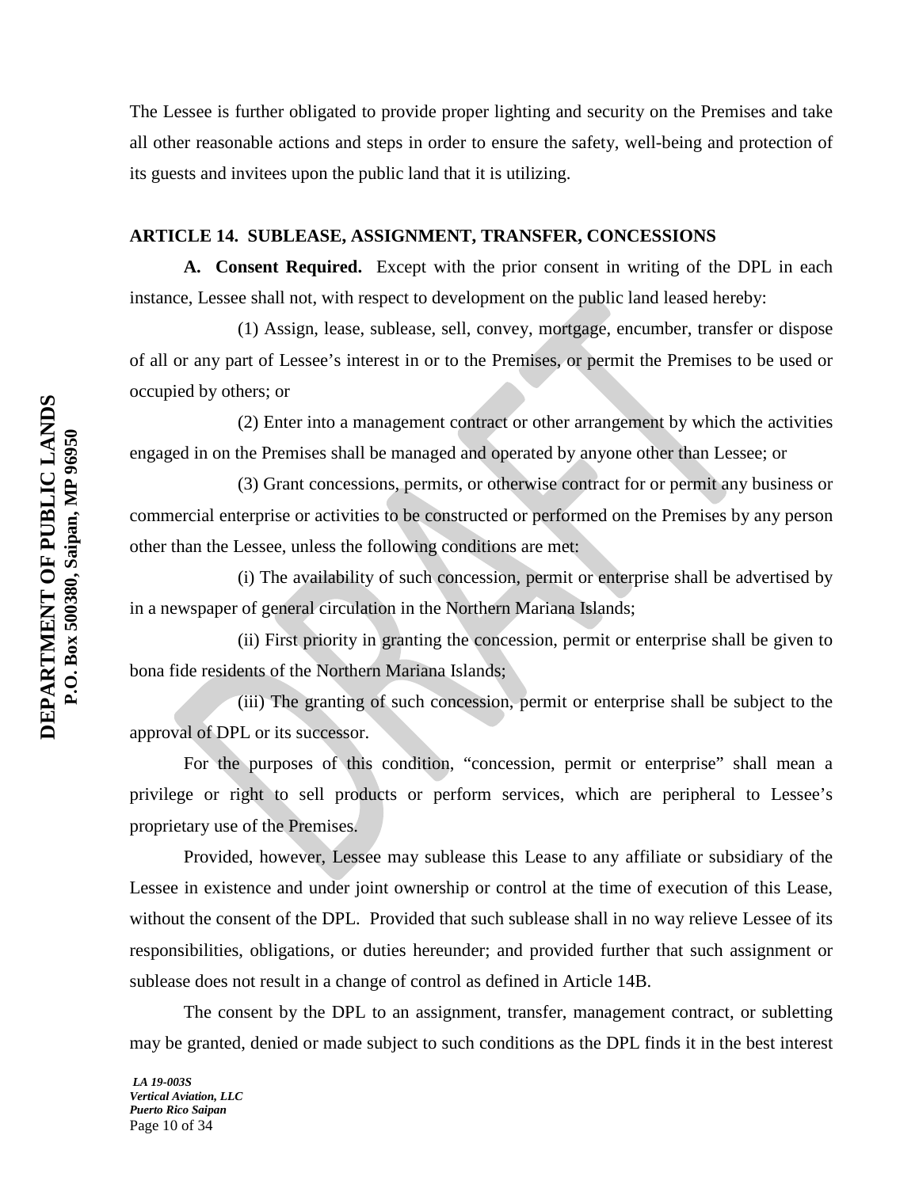The Lessee is further obligated to provide proper lighting and security on the Premises and take all other reasonable actions and steps in order to ensure the safety, well-being and protection of its guests and invitees upon the public land that it is utilizing.

## **ARTICLE 14. SUBLEASE, ASSIGNMENT, TRANSFER, CONCESSIONS**

**A. Consent Required.** Except with the prior consent in writing of the DPL in each instance, Lessee shall not, with respect to development on the public land leased hereby:

(1) Assign, lease, sublease, sell, convey, mortgage, encumber, transfer or dispose of all or any part of Lessee's interest in or to the Premises, or permit the Premises to be used or occupied by others; or

(2) Enter into a management contract or other arrangement by which the activities engaged in on the Premises shall be managed and operated by anyone other than Lessee; or

(3) Grant concessions, permits, or otherwise contract for or permit any business or commercial enterprise or activities to be constructed or performed on the Premises by any person other than the Lessee, unless the following conditions are met:

(i) The availability of such concession, permit or enterprise shall be advertised by in a newspaper of general circulation in the Northern Mariana Islands;

(ii) First priority in granting the concession, permit or enterprise shall be given to bona fide residents of the Northern Mariana Islands;

(iii) The granting of such concession, permit or enterprise shall be subject to the approval of DPL or its successor.

For the purposes of this condition, "concession, permit or enterprise" shall mean a privilege or right to sell products or perform services, which are peripheral to Lessee's proprietary use of the Premises.

Provided, however, Lessee may sublease this Lease to any affiliate or subsidiary of the Lessee in existence and under joint ownership or control at the time of execution of this Lease, without the consent of the DPL. Provided that such sublease shall in no way relieve Lessee of its responsibilities, obligations, or duties hereunder; and provided further that such assignment or sublease does not result in a change of control as defined in Article 14B.

The consent by the DPL to an assignment, transfer, management contract, or subletting may be granted, denied or made subject to such conditions as the DPL finds it in the best interest

*LA 19-003S Vertical Aviation, LLC Puerto Rico Saipan* Page 10 of 34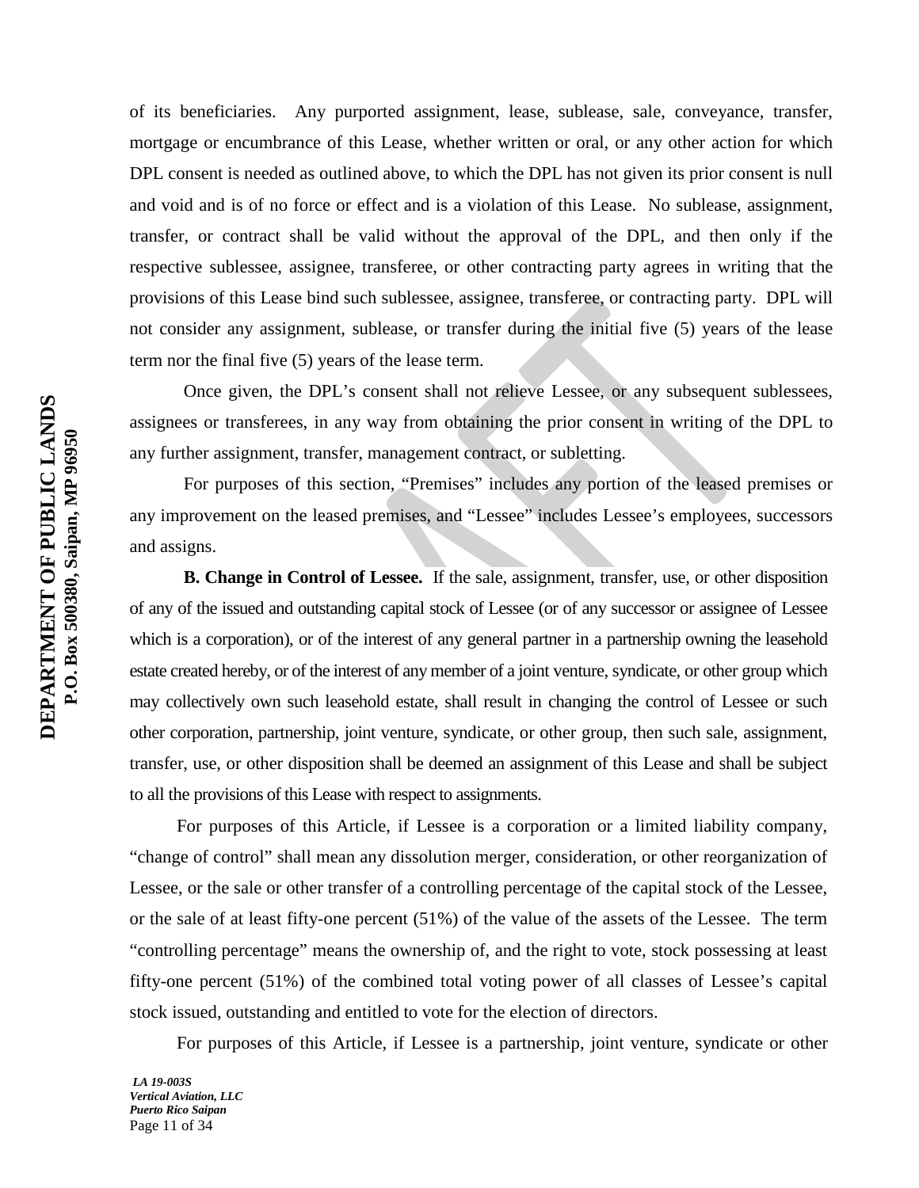of its beneficiaries. Any purported assignment, lease, sublease, sale, conveyance, transfer, mortgage or encumbrance of this Lease, whether written or oral, or any other action for which DPL consent is needed as outlined above, to which the DPL has not given its prior consent is null and void and is of no force or effect and is a violation of this Lease. No sublease, assignment, transfer, or contract shall be valid without the approval of the DPL, and then only if the respective sublessee, assignee, transferee, or other contracting party agrees in writing that the provisions of this Lease bind such sublessee, assignee, transferee, or contracting party. DPL will not consider any assignment, sublease, or transfer during the initial five (5) years of the lease term nor the final five (5) years of the lease term.

Once given, the DPL's consent shall not relieve Lessee, or any subsequent sublessees, assignees or transferees, in any way from obtaining the prior consent in writing of the DPL to any further assignment, transfer, management contract, or subletting.

For purposes of this section, "Premises" includes any portion of the leased premises or any improvement on the leased premises, and "Lessee" includes Lessee's employees, successors and assigns.

**B. Change in Control of Lessee.** If the sale, assignment, transfer, use, or other disposition of any of the issued and outstanding capital stock of Lessee (or of any successor or assignee of Lessee which is a corporation), or of the interest of any general partner in a partnership owning the leasehold estate created hereby, or of the interest of any member of a joint venture, syndicate, or other group which may collectively own such leasehold estate, shall result in changing the control of Lessee or such other corporation, partnership, joint venture, syndicate, or other group, then such sale, assignment, transfer, use, or other disposition shall be deemed an assignment of this Lease and shall be subject to all the provisions of this Lease with respect to assignments.

For purposes of this Article, if Lessee is a corporation or a limited liability company, "change of control" shall mean any dissolution merger, consideration, or other reorganization of Lessee, or the sale or other transfer of a controlling percentage of the capital stock of the Lessee, or the sale of at least fifty-one percent (51%) of the value of the assets of the Lessee. The term "controlling percentage" means the ownership of, and the right to vote, stock possessing at least fifty-one percent (51%) of the combined total voting power of all classes of Lessee's capital stock issued, outstanding and entitled to vote for the election of directors.

For purposes of this Article, if Lessee is a partnership, joint venture, syndicate or other

*LA 19-003S Vertical Aviation, LLC Puerto Rico Saipan* Page 11 of 34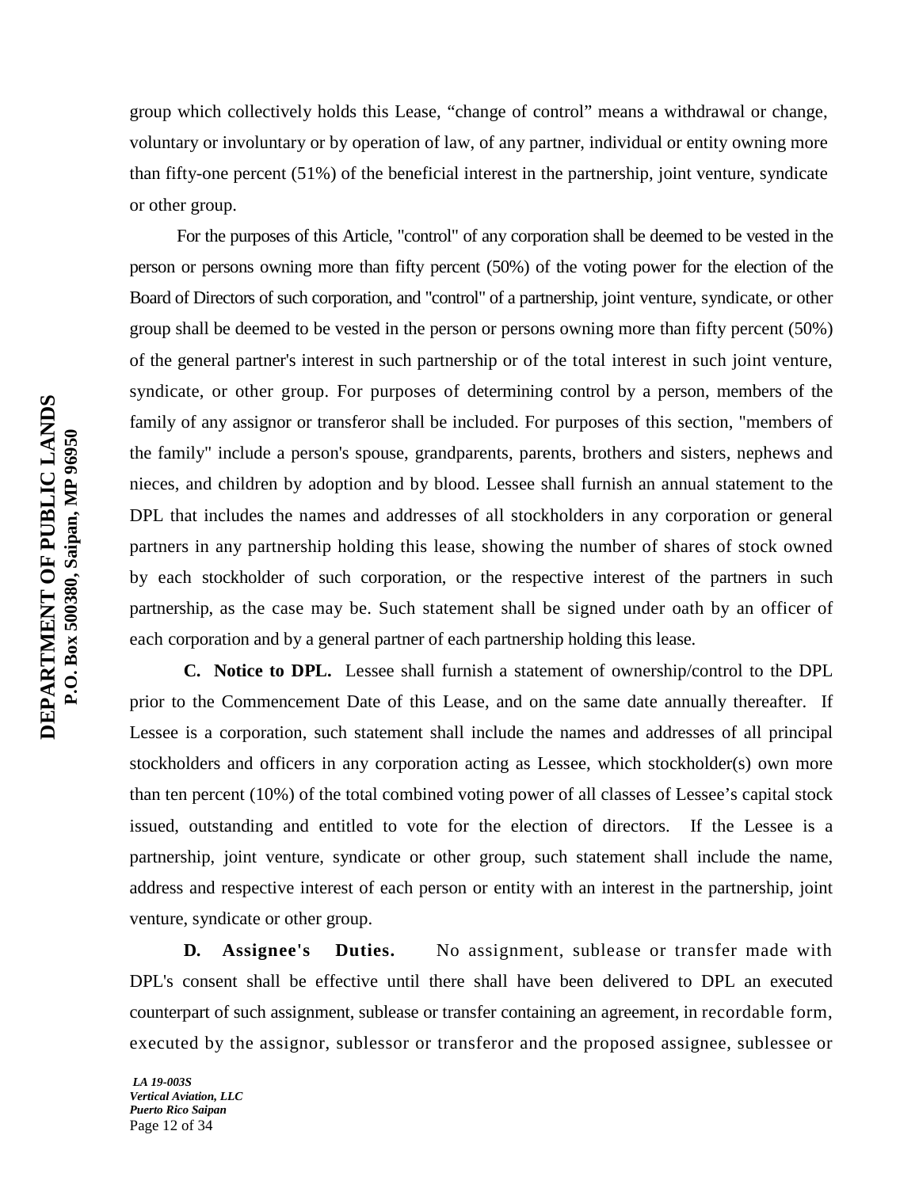group which collectively holds this Lease, "change of control" means a withdrawal or change, voluntary or involuntary or by operation of law, of any partner, individual or entity owning more than fifty-one percent (51%) of the beneficial interest in the partnership, joint venture, syndicate or other group.

For the purposes of this Article, "control" of any corporation shall be deemed to be vested in the person or persons owning more than fifty percent (50%) of the voting power for the election of the Board of Directors of such corporation, and "control" of a partnership, joint venture, syndicate, or other group shall be deemed to be vested in the person or persons owning more than fifty percent (50%) of the general partner's interest in such partnership or of the total interest in such joint venture, syndicate, or other group. For purposes of determining control by a person, members of the family of any assignor or transferor shall be included. For purposes of this section, "members of the family" include a person's spouse, grandparents, parents, brothers and sisters, nephews and nieces, and children by adoption and by blood. Lessee shall furnish an annual statement to the DPL that includes the names and addresses of all stockholders in any corporation or general partners in any partnership holding this lease, showing the number of shares of stock owned by each stockholder of such corporation, or the respective interest of the partners in such partnership, as the case may be. Such statement shall be signed under oath by an officer of each corporation and by a general partner of each partnership holding this lease.

**C. Notice to DPL.** Lessee shall furnish a statement of ownership/control to the DPL prior to the Commencement Date of this Lease, and on the same date annually thereafter. If Lessee is a corporation, such statement shall include the names and addresses of all principal stockholders and officers in any corporation acting as Lessee, which stockholder(s) own more than ten percent (10%) of the total combined voting power of all classes of Lessee's capital stock issued, outstanding and entitled to vote for the election of directors. If the Lessee is a partnership, joint venture, syndicate or other group, such statement shall include the name, address and respective interest of each person or entity with an interest in the partnership, joint venture, syndicate or other group.

**D. Assignee's Duties.** No assignment, sublease or transfer made with DPL's consent shall be effective until there shall have been delivered to DPL an executed counterpart of such assignment, sublease or transfer containing an agreement, in recordable form, executed by the assignor, sublessor or transferor and the proposed assignee, sublessee or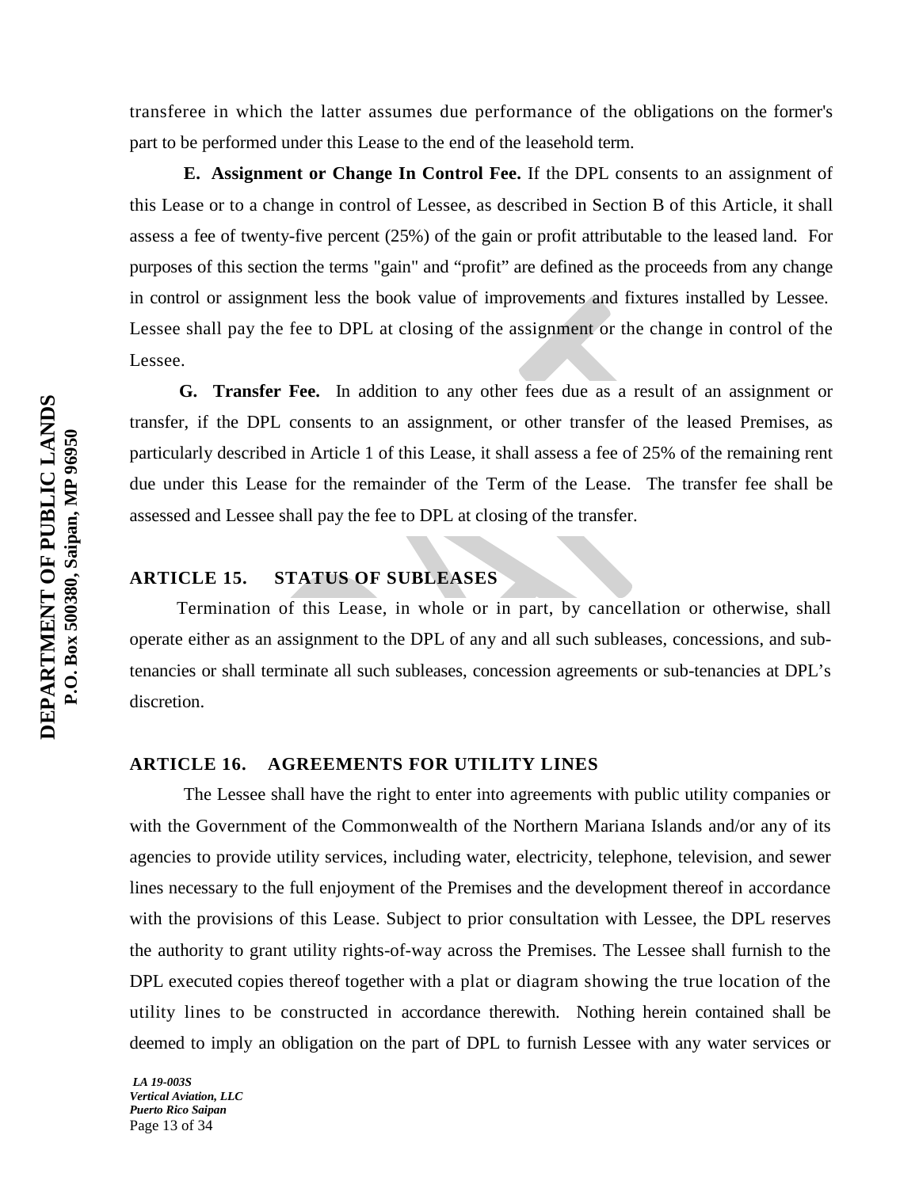transferee in which the latter assumes due performance of the obligations on the former's part to be performed under this Lease to the end of the leasehold term.

**E. Assignment or Change In Control Fee.** If the DPL consents to an assignment of this Lease or to a change in control of Lessee, as described in Section B of this Article, it shall assess a fee of twenty-five percent (25%) of the gain or profit attributable to the leased land. For purposes of this section the terms "gain" and "profit" are defined as the proceeds from any change in control or assignment less the book value of improvements and fixtures installed by Lessee. Lessee shall pay the fee to DPL at closing of the assignment or the change in control of the Lessee.

 **G. Transfer Fee.** In addition to any other fees due as a result of an assignment or transfer, if the DPL consents to an assignment, or other transfer of the leased Premises, as particularly described in Article 1 of this Lease, it shall assess a fee of 25% of the remaining rent due under this Lease for the remainder of the Term of the Lease. The transfer fee shall be assessed and Lessee shall pay the fee to DPL at closing of the transfer.

## **ARTICLE 15. STATUS OF SUBLEASES**

Termination of this Lease, in whole or in part, by cancellation or otherwise, shall operate either as an assignment to the DPL of any and all such subleases, concessions, and subtenancies or shall terminate all such subleases, concession agreements or sub-tenancies at DPL's discretion.

## **ARTICLE 16. AGREEMENTS FOR UTILITY LINES**

The Lessee shall have the right to enter into agreements with public utility companies or with the Government of the Commonwealth of the Northern Mariana Islands and/or any of its agencies to provide utility services, including water, electricity, telephone, television, and sewer lines necessary to the full enjoyment of the Premises and the development thereof in accordance with the provisions of this Lease. Subject to prior consultation with Lessee, the DPL reserves the authority to grant utility rights-of-way across the Premises. The Lessee shall furnish to the DPL executed copies thereof together with a plat or diagram showing the true location of the utility lines to be constructed in accordance therewith. Nothing herein contained shall be deemed to imply an obligation on the part of DPL to furnish Lessee with any water services or

*LA 19-003S Vertical Aviation, LLC Puerto Rico Saipan* Page 13 of 34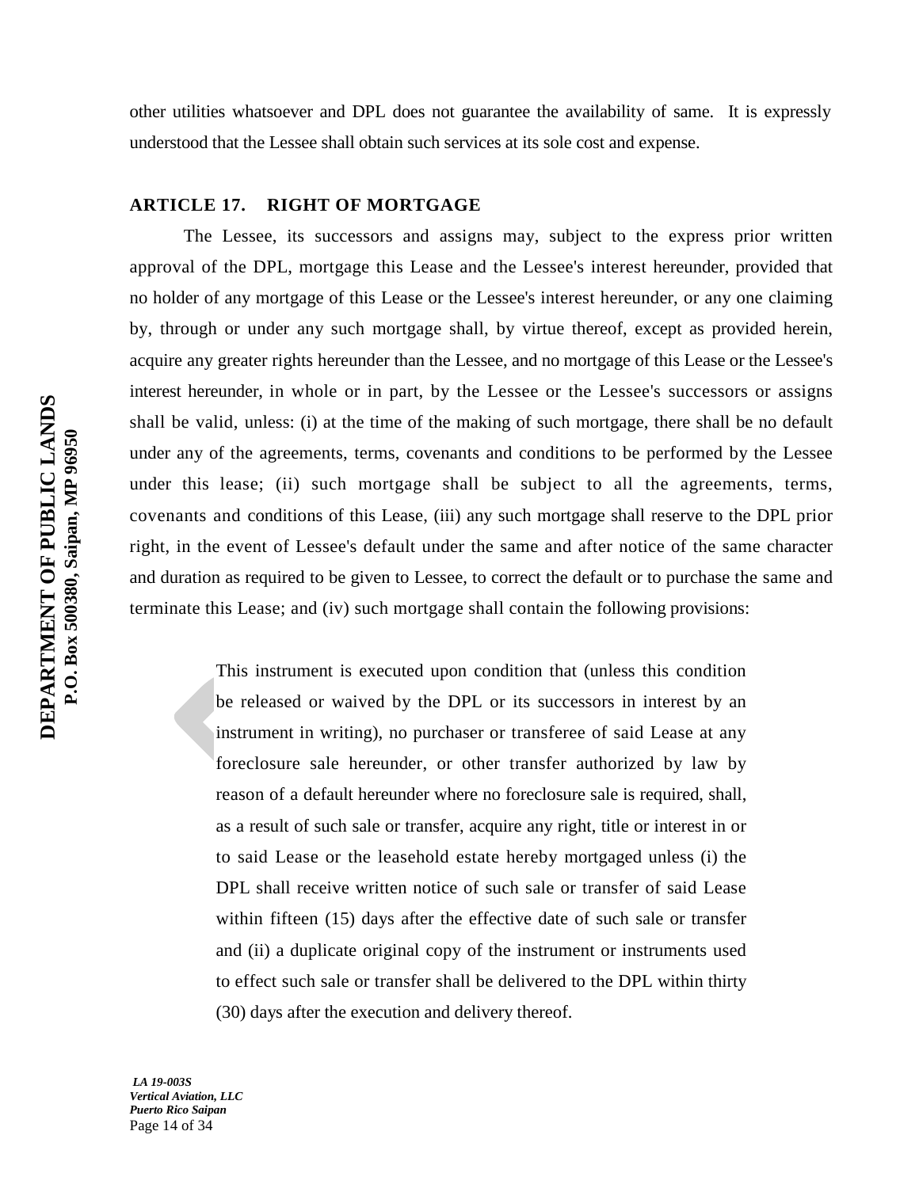other utilities whatsoever and DPL does not guarantee the availability of same. It is expressly understood that the Lessee shall obtain such services at its sole cost and expense.

## **ARTICLE 17. RIGHT OF MORTGAGE**

The Lessee, its successors and assigns may, subject to the express prior written approval of the DPL, mortgage this Lease and the Lessee's interest hereunder, provided that no holder of any mortgage of this Lease or the Lessee's interest hereunder, or any one claiming by, through or under any such mortgage shall, by virtue thereof, except as provided herein, acquire any greater rights hereunder than the Lessee, and no mortgage of this Lease or the Lessee's interest hereunder, in whole or in part, by the Lessee or the Lessee's successors or assigns shall be valid, unless: (i) at the time of the making of such mortgage, there shall be no default under any of the agreements, terms, covenants and conditions to be performed by the Lessee under this lease; (ii) such mortgage shall be subject to all the agreements, terms, covenants and conditions of this Lease, (iii) any such mortgage shall reserve to the DPL prior right, in the event of Lessee's default under the same and after notice of the same character and duration as required to be given to Lessee, to correct the default or to purchase the same and terminate this Lease; and (iv) such mortgage shall contain the following provisions:

> This instrument is executed upon condition that (unless this condition be released or waived by the DPL or its successors in interest by an instrument in writing), no purchaser or transferee of said Lease at any foreclosure sale hereunder, or other transfer authorized by law by reason of a default hereunder where no foreclosure sale is required, shall, as a result of such sale or transfer, acquire any right, title or interest in or to said Lease or the leasehold estate hereby mortgaged unless (i) the DPL shall receive written notice of such sale or transfer of said Lease within fifteen (15) days after the effective date of such sale or transfer and (ii) a duplicate original copy of the instrument or instruments used to effect such sale or transfer shall be delivered to the DPL within thirty (30) days after the execution and delivery thereof.

*LA 19-003S Vertical Aviation, LLC Puerto Rico Saipan* Page 14 of 34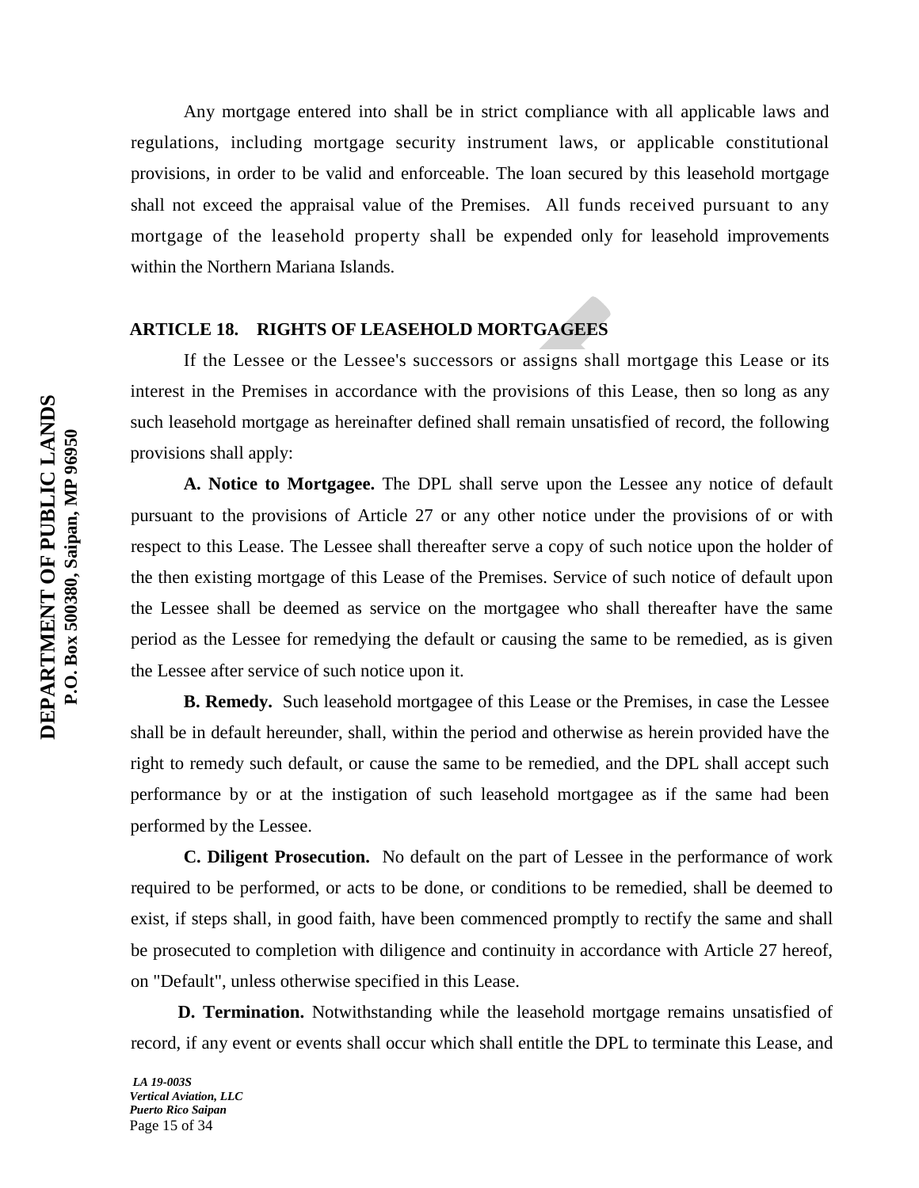Any mortgage entered into shall be in strict compliance with all applicable laws and regulations, including mortgage security instrument laws, or applicable constitutional provisions, in order to be valid and enforceable. The loan secured by this leasehold mortgage shall not exceed the appraisal value of the Premises. All funds received pursuant to any mortgage of the leasehold property shall be expended only for leasehold improvements within the Northern Mariana Islands.

## **ARTICLE 18. RIGHTS OF LEASEHOLD MORTGAGEES**

If the Lessee or the Lessee's successors or assigns shall mortgage this Lease or its interest in the Premises in accordance with the provisions of this Lease, then so long as any such leasehold mortgage as hereinafter defined shall remain unsatisfied of record, the following provisions shall apply:

**A. Notice to Mortgagee.** The DPL shall serve upon the Lessee any notice of default pursuant to the provisions of Article 27 or any other notice under the provisions of or with respect to this Lease. The Lessee shall thereafter serve a copy of such notice upon the holder of the then existing mortgage of this Lease of the Premises. Service of such notice of default upon the Lessee shall be deemed as service on the mortgagee who shall thereafter have the same period as the Lessee for remedying the default or causing the same to be remedied, as is given the Lessee after service of such notice upon it.

**B. Remedy.** Such leasehold mortgagee of this Lease or the Premises, in case the Lessee shall be in default hereunder, shall, within the period and otherwise as herein provided have the right to remedy such default, or cause the same to be remedied, and the DPL shall accept such performance by or at the instigation of such leasehold mortgagee as if the same had been performed by the Lessee.

**C. Diligent Prosecution.** No default on the part of Lessee in the performance of work required to be performed, or acts to be done, or conditions to be remedied, shall be deemed to exist, if steps shall, in good faith, have been commenced promptly to rectify the same and shall be prosecuted to completion with diligence and continuity in accordance with Article 27 hereof, on "Default", unless otherwise specified in this Lease.

**D. Termination.** Notwithstanding while the leasehold mortgage remains unsatisfied of record, if any event or events shall occur which shall entitle the DPL to terminate this Lease, and

*LA 19-003S Vertical Aviation, LLC Puerto Rico Saipan* Page 15 of 34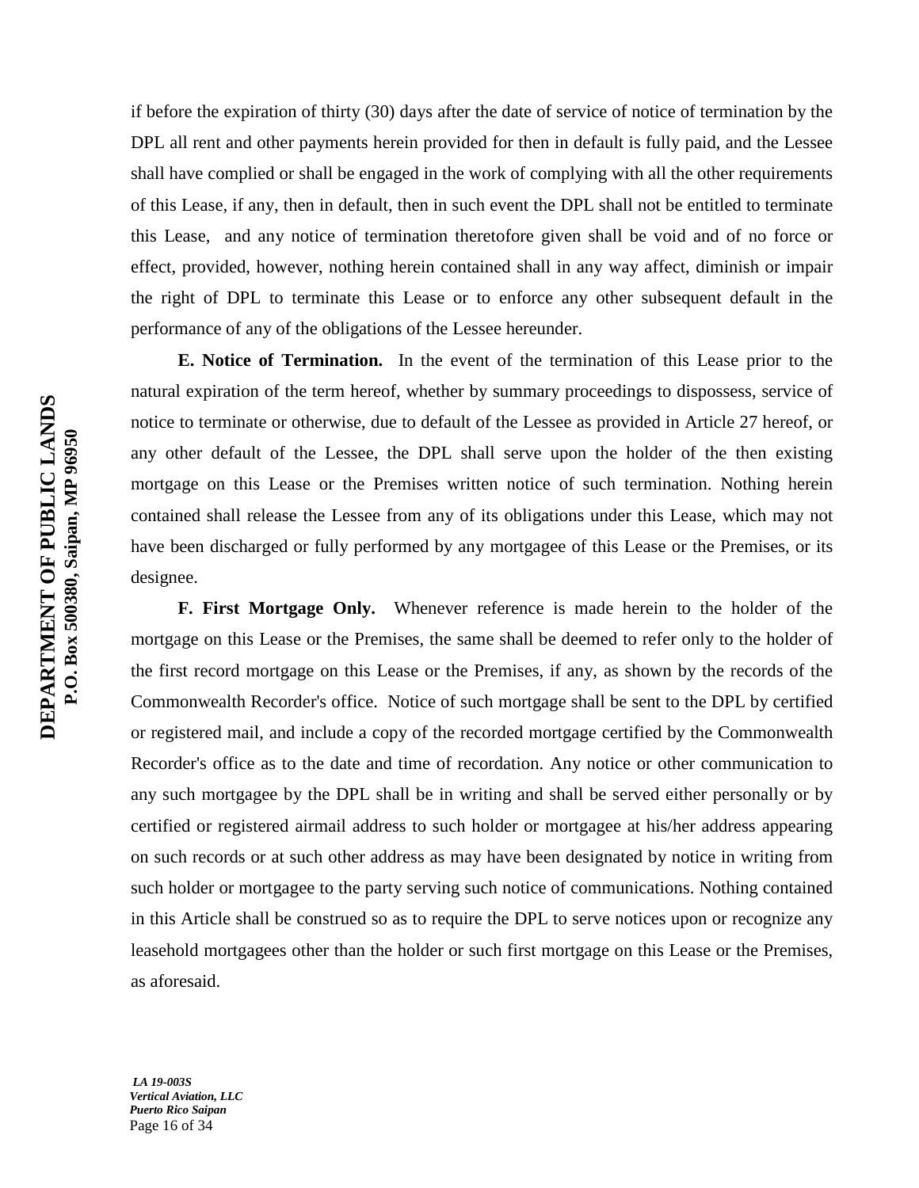if before the expiration of thirty (30) days after the date of service of notice of termination by the DPL all rent and other payments herein provided for then in default is fully paid, and the Lessee shall have complied or shall be engaged in the work of complying with all the other requirements of this Lease, if any, then in default, then in such event the DPL shall not be entitled to terminate this Lease, and any notice of termination theretofore given shall be void and of no force or effect, provided, however, nothing herein contained shall in any way affect, diminish or impair the right of DPL to terminate this Lease or to enforce any other subsequent default in the performance of any of the obligations of the Lessee hereunder.

**E. Notice of Termination.** In the event of the termination of this Lease prior to the natural expiration of the term hereof, whether by summary proceedings to dispossess, service of notice to terminate or otherwise, due to default of the Lessee as provided in Article 27 hereof, or any other default of the Lessee, the DPL shall serve upon the holder of the then existing mortgage on this Lease or the Premises written notice of such termination. Nothing herein contained shall release the Lessee from any of its obligations under this Lease, which may not have been discharged or fully performed by any mortgagee of this Lease or the Premises, or its designee.

**F. First Mortgage Only.** Whenever reference is made herein to the holder of the mortgage on this Lease or the Premises, the same shall be deemed to refer only to the holder of the first record mortgage on this Lease or the Premises, if any, as shown by the records of the Commonwealth Recorder's office. Notice of such mortgage shall be sent to the DPL by certified or registered mail, and include a copy of the recorded mortgage certified by the Commonwealth Recorder's office as to the date and time of recordation. Any notice or other communication to any such mortgagee by the DPL shall be in writing and shall be served either personally or by certified or registered airmail address to such holder or mortgagee at his/her address appearing on such records or at such other address as may have been designated by notice in writing from such holder or mortgagee to the party serving such notice of communications. Nothing contained in this Article shall be construed so as to require the DPL to serve notices upon or recognize any leasehold mortgagees other than the holder or such first mortgage on this Lease or the Premises, as aforesaid.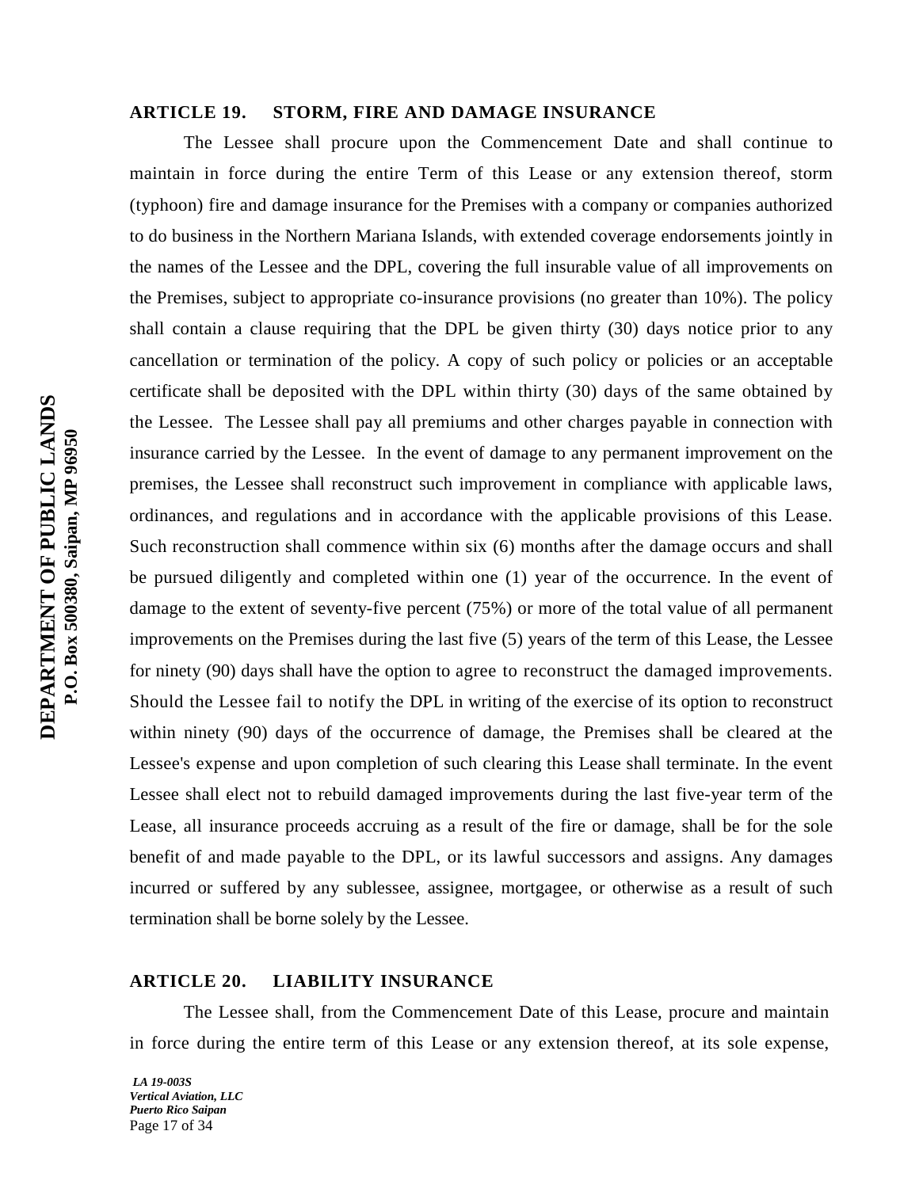## **ARTICLE 19. STORM, FIRE AND DAMAGE INSURANCE**

The Lessee shall procure upon the Commencement Date and shall continue to maintain in force during the entire Term of this Lease or any extension thereof, storm (typhoon) fire and damage insurance for the Premises with a company or companies authorized to do business in the Northern Mariana Islands, with extended coverage endorsements jointly in the names of the Lessee and the DPL, covering the full insurable value of all improvements on the Premises, subject to appropriate co-insurance provisions (no greater than 10%). The policy shall contain a clause requiring that the DPL be given thirty (30) days notice prior to any cancellation or termination of the policy. A copy of such policy or policies or an acceptable certificate shall be deposited with the DPL within thirty (30) days of the same obtained by the Lessee. The Lessee shall pay all premiums and other charges payable in connection with insurance carried by the Lessee. In the event of damage to any permanent improvement on the premises, the Lessee shall reconstruct such improvement in compliance with applicable laws, ordinances, and regulations and in accordance with the applicable provisions of this Lease. Such reconstruction shall commence within six (6) months after the damage occurs and shall be pursued diligently and completed within one (1) year of the occurrence. In the event of damage to the extent of seventy-five percent (75%) or more of the total value of all permanent improvements on the Premises during the last five (5) years of the term of this Lease, the Lessee for ninety (90) days shall have the option to agree to reconstruct the damaged improvements. Should the Lessee fail to notify the DPL in writing of the exercise of its option to reconstruct within ninety (90) days of the occurrence of damage, the Premises shall be cleared at the Lessee's expense and upon completion of such clearing this Lease shall terminate. In the event Lessee shall elect not to rebuild damaged improvements during the last five-year term of the Lease, all insurance proceeds accruing as a result of the fire or damage, shall be for the sole benefit of and made payable to the DPL, or its lawful successors and assigns. Any damages incurred or suffered by any sublessee, assignee, mortgagee, or otherwise as a result of such termination shall be borne solely by the Lessee.

## **ARTICLE 20. LIABILITY INSURANCE**

The Lessee shall, from the Commencement Date of this Lease, procure and maintain in force during the entire term of this Lease or any extension thereof, at its sole expense,

*LA 19-003S Vertical Aviation, LLC Puerto Rico Saipan* Page 17 of 34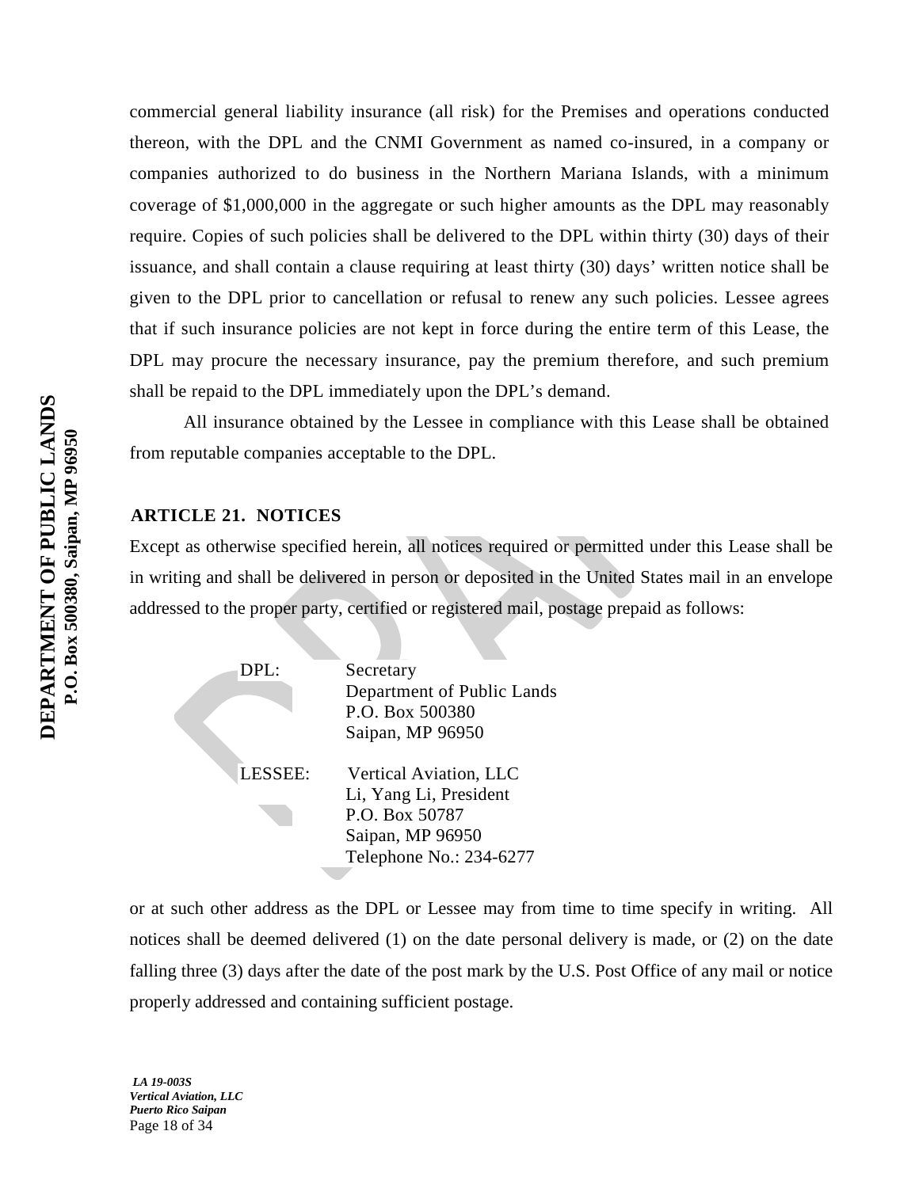commercial general liability insurance (all risk) for the Premises and operations conducted thereon, with the DPL and the CNMI Government as named co-insured, in a company or companies authorized to do business in the Northern Mariana Islands, with a minimum coverage of \$1,000,000 in the aggregate or such higher amounts as the DPL may reasonably require. Copies of such policies shall be delivered to the DPL within thirty (30) days of their issuance, and shall contain a clause requiring at least thirty (30) days' written notice shall be given to the DPL prior to cancellation or refusal to renew any such policies. Lessee agrees that if such insurance policies are not kept in force during the entire term of this Lease, the DPL may procure the necessary insurance, pay the premium therefore, and such premium shall be repaid to the DPL immediately upon the DPL's demand.

All insurance obtained by the Lessee in compliance with this Lease shall be obtained from reputable companies acceptable to the DPL.

## **ARTICLE 21. NOTICES**

Except as otherwise specified herein, all notices required or permitted under this Lease shall be in writing and shall be delivered in person or deposited in the United States mail in an envelope addressed to the proper party, certified or registered mail, postage prepaid as follows:

> DPL: Secretary Department of Public Lands P.O. Box 500380 Saipan, MP 96950 LESSEE: Vertical Aviation, LLC Li, Yang Li, President P.O. Box 50787 Saipan, MP 96950 Telephone No.: 234-6277

or at such other address as the DPL or Lessee may from time to time specify in writing. All notices shall be deemed delivered (1) on the date personal delivery is made, or (2) on the date falling three (3) days after the date of the post mark by the U.S. Post Office of any mail or notice properly addressed and containing sufficient postage.

*LA 19-003S Vertical Aviation, LLC Puerto Rico Saipan* Page 18 of 34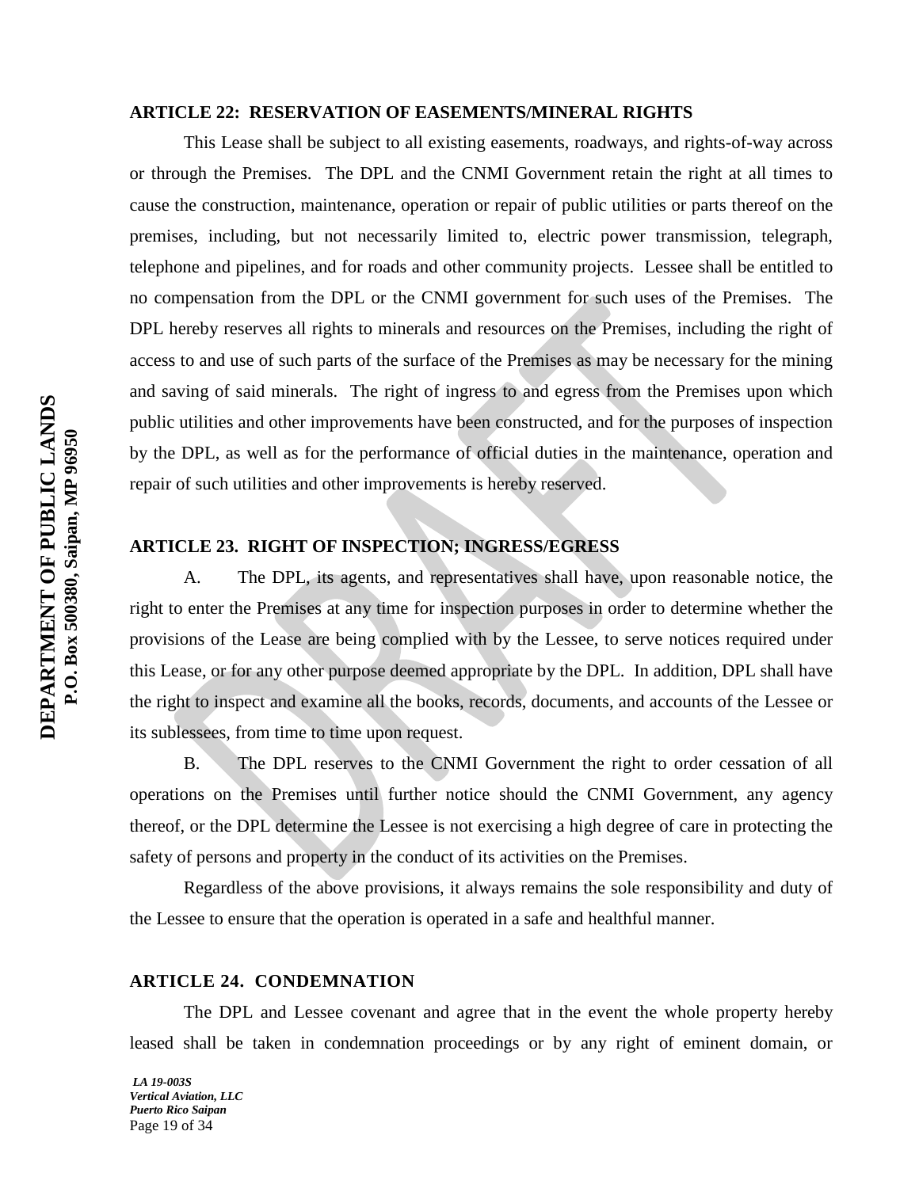#### **ARTICLE 22: RESERVATION OF EASEMENTS/MINERAL RIGHTS**

This Lease shall be subject to all existing easements, roadways, and rights-of-way across or through the Premises. The DPL and the CNMI Government retain the right at all times to cause the construction, maintenance, operation or repair of public utilities or parts thereof on the premises, including, but not necessarily limited to, electric power transmission, telegraph, telephone and pipelines, and for roads and other community projects. Lessee shall be entitled to no compensation from the DPL or the CNMI government for such uses of the Premises. The DPL hereby reserves all rights to minerals and resources on the Premises, including the right of access to and use of such parts of the surface of the Premises as may be necessary for the mining and saving of said minerals. The right of ingress to and egress from the Premises upon which public utilities and other improvements have been constructed, and for the purposes of inspection by the DPL, as well as for the performance of official duties in the maintenance, operation and repair of such utilities and other improvements is hereby reserved.

## **ARTICLE 23. RIGHT OF INSPECTION; INGRESS/EGRESS**

A. The DPL, its agents, and representatives shall have, upon reasonable notice, the right to enter the Premises at any time for inspection purposes in order to determine whether the provisions of the Lease are being complied with by the Lessee, to serve notices required under this Lease, or for any other purpose deemed appropriate by the DPL. In addition, DPL shall have the right to inspect and examine all the books, records, documents, and accounts of the Lessee or its sublessees, from time to time upon request.

B. The DPL reserves to the CNMI Government the right to order cessation of all operations on the Premises until further notice should the CNMI Government, any agency thereof, or the DPL determine the Lessee is not exercising a high degree of care in protecting the safety of persons and property in the conduct of its activities on the Premises.

Regardless of the above provisions, it always remains the sole responsibility and duty of the Lessee to ensure that the operation is operated in a safe and healthful manner.

## **ARTICLE 24. CONDEMNATION**

The DPL and Lessee covenant and agree that in the event the whole property hereby leased shall be taken in condemnation proceedings or by any right of eminent domain, or

*LA 19-003S Vertical Aviation, LLC Puerto Rico Saipan* Page 19 of 34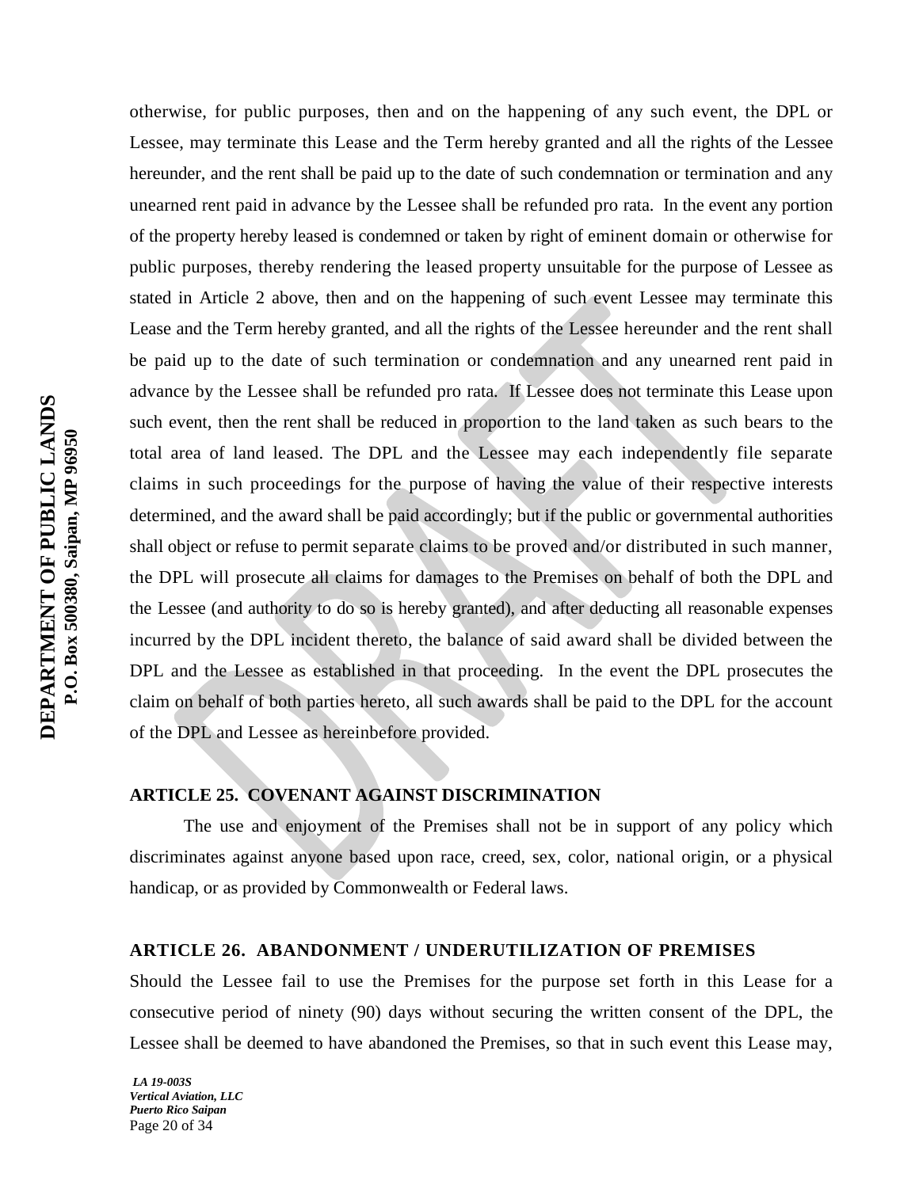otherwise, for public purposes, then and on the happening of any such event, the DPL or Lessee, may terminate this Lease and the Term hereby granted and all the rights of the Lessee hereunder, and the rent shall be paid up to the date of such condemnation or termination and any unearned rent paid in advance by the Lessee shall be refunded pro rata. In the event any portion of the property hereby leased is condemned or taken by right of eminent domain or otherwise for public purposes, thereby rendering the leased property unsuitable for the purpose of Lessee as stated in Article 2 above, then and on the happening of such event Lessee may terminate this Lease and the Term hereby granted, and all the rights of the Lessee hereunder and the rent shall be paid up to the date of such termination or condemnation and any unearned rent paid in advance by the Lessee shall be refunded pro rata. If Lessee does not terminate this Lease upon such event, then the rent shall be reduced in proportion to the land taken as such bears to the total area of land leased. The DPL and the Lessee may each independently file separate claims in such proceedings for the purpose of having the value of their respective interests determined, and the award shall be paid accordingly; but if the public or governmental authorities shall object or refuse to permit separate claims to be proved and/or distributed in such manner, the DPL will prosecute all claims for damages to the Premises on behalf of both the DPL and the Lessee (and authority to do so is hereby granted), and after deducting all reasonable expenses incurred by the DPL incident thereto, the balance of said award shall be divided between the DPL and the Lessee as established in that proceeding. In the event the DPL prosecutes the claim on behalf of both parties hereto, all such awards shall be paid to the DPL for the account of the DPL and Lessee as hereinbefore provided.

## **ARTICLE 25. COVENANT AGAINST DISCRIMINATION**

The use and enjoyment of the Premises shall not be in support of any policy which discriminates against anyone based upon race, creed, sex, color, national origin, or a physical handicap, or as provided by Commonwealth or Federal laws.

## **ARTICLE 26. ABANDONMENT / UNDERUTILIZATION OF PREMISES**

Should the Lessee fail to use the Premises for the purpose set forth in this Lease for a consecutive period of ninety (90) days without securing the written consent of the DPL, the Lessee shall be deemed to have abandoned the Premises, so that in such event this Lease may,

*LA 19-003S Vertical Aviation, LLC Puerto Rico Saipan* Page 20 of 34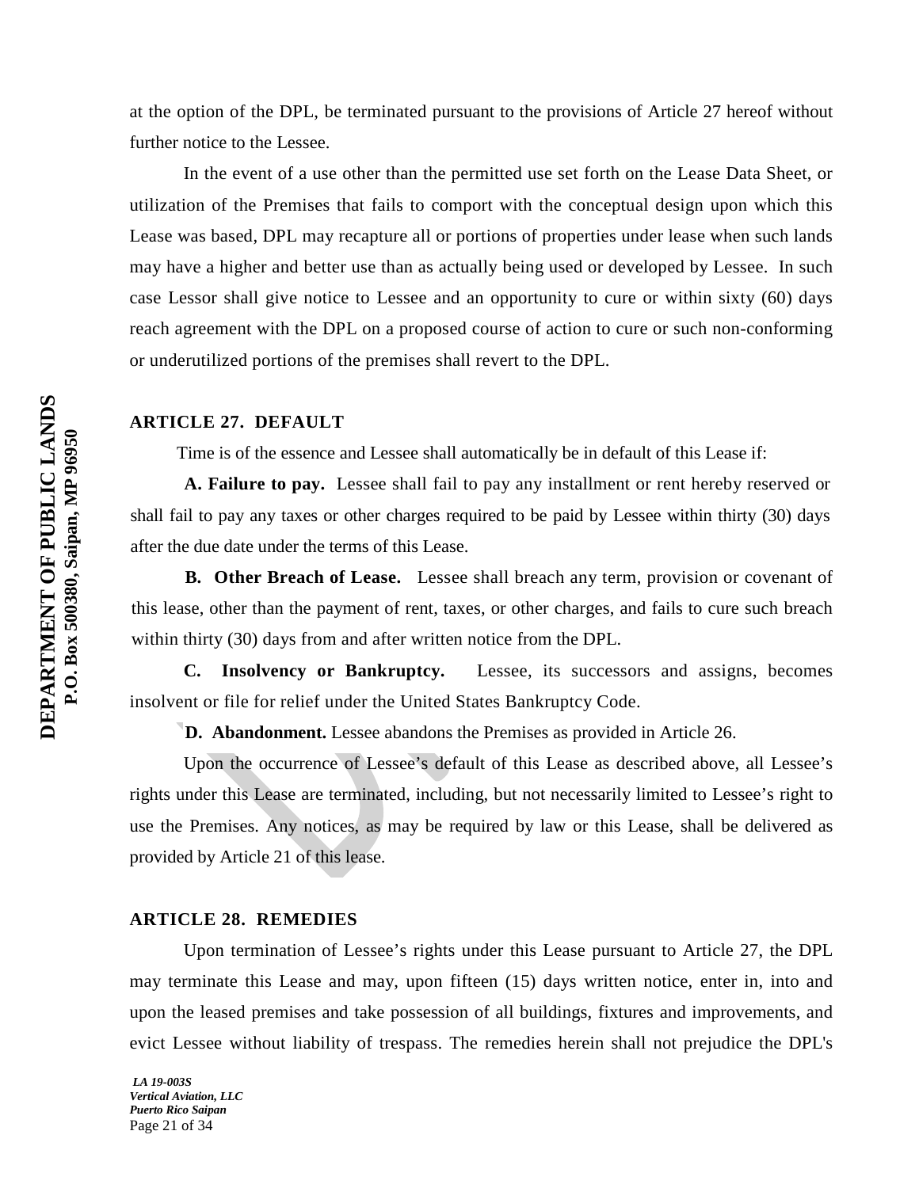at the option of the DPL, be terminated pursuant to the provisions of Article 27 hereof without further notice to the Lessee.

In the event of a use other than the permitted use set forth on the Lease Data Sheet, or utilization of the Premises that fails to comport with the conceptual design upon which this Lease was based, DPL may recapture all or portions of properties under lease when such lands may have a higher and better use than as actually being used or developed by Lessee. In such case Lessor shall give notice to Lessee and an opportunity to cure or within sixty (60) days reach agreement with the DPL on a proposed course of action to cure or such non-conforming or underutilized portions of the premises shall revert to the DPL.

## **ARTICLE 27. DEFAULT**

Time is of the essence and Lessee shall automatically be in default of this Lease if:

**A. Failure to pay.** Lessee shall fail to pay any installment or rent hereby reserved or shall fail to pay any taxes or other charges required to be paid by Lessee within thirty (30) days after the due date under the terms of this Lease.

**B. Other Breach of Lease.** Lessee shall breach any term, provision or covenant of this lease, other than the payment of rent, taxes, or other charges, and fails to cure such breach within thirty (30) days from and after written notice from the DPL.

 **C. Insolvency or Bankruptcy.** Lessee, its successors and assigns, becomes insolvent or file for relief under the United States Bankruptcy Code.

**D. Abandonment.** Lessee abandons the Premises as provided in Article 26.

Upon the occurrence of Lessee's default of this Lease as described above, all Lessee's rights under this Lease are terminated, including, but not necessarily limited to Lessee's right to use the Premises. Any notices, as may be required by law or this Lease, shall be delivered as provided by Article 21 of this lease.

## **ARTICLE 28. REMEDIES**

Upon termination of Lessee's rights under this Lease pursuant to Article 27, the DPL may terminate this Lease and may, upon fifteen (15) days written notice, enter in, into and upon the leased premises and take possession of all buildings, fixtures and improvements, and evict Lessee without liability of trespass. The remedies herein shall not prejudice the DPL's

*LA 19-003S Vertical Aviation, LLC Puerto Rico Saipan* Page 21 of 34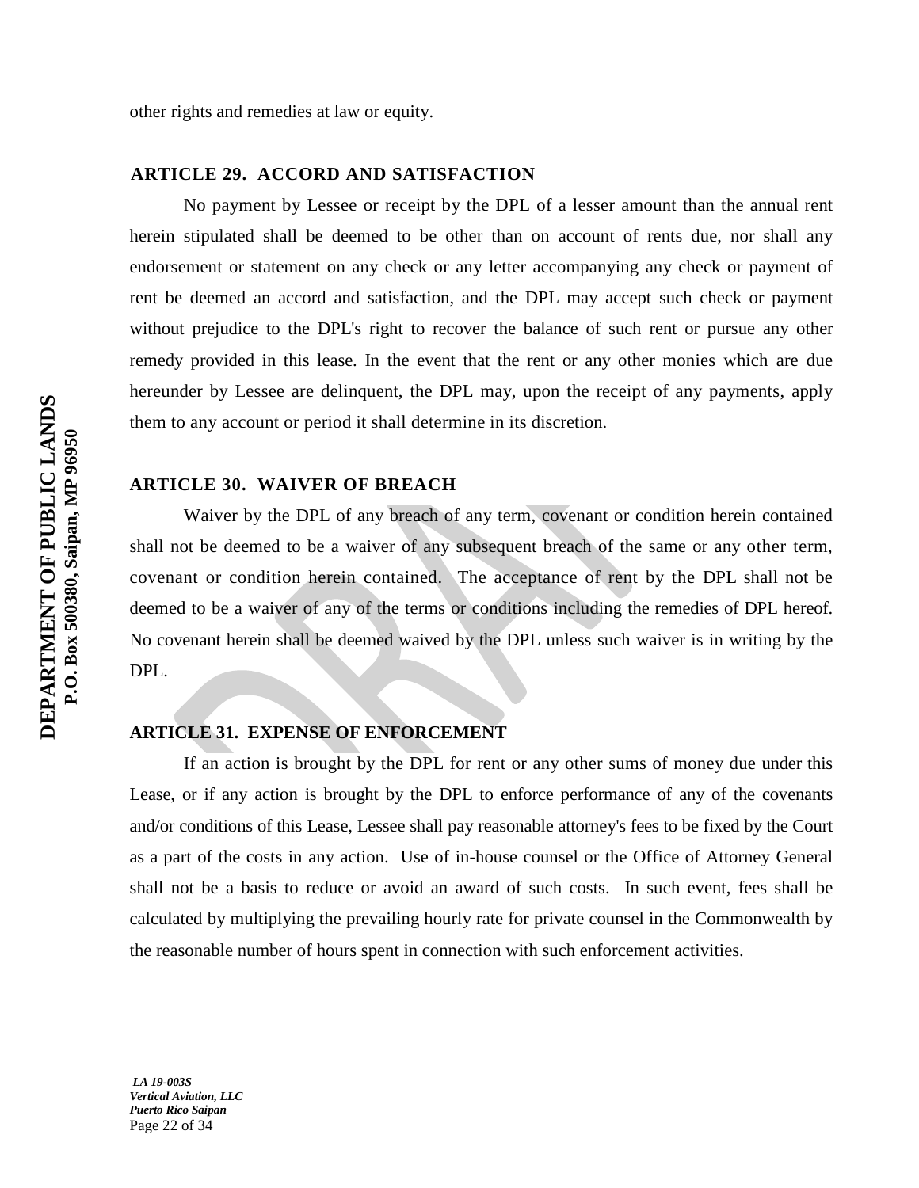## **ARTICLE 29. ACCORD AND SATISFACTION**

No payment by Lessee or receipt by the DPL of a lesser amount than the annual rent herein stipulated shall be deemed to be other than on account of rents due, nor shall any endorsement or statement on any check or any letter accompanying any check or payment of rent be deemed an accord and satisfaction, and the DPL may accept such check or payment without prejudice to the DPL's right to recover the balance of such rent or pursue any other remedy provided in this lease. In the event that the rent or any other monies which are due hereunder by Lessee are delinquent, the DPL may, upon the receipt of any payments, apply them to any account or period it shall determine in its discretion.

## **ARTICLE 30. WAIVER OF BREACH**

Waiver by the DPL of any breach of any term, covenant or condition herein contained shall not be deemed to be a waiver of any subsequent breach of the same or any other term, covenant or condition herein contained. The acceptance of rent by the DPL shall not be deemed to be a waiver of any of the terms or conditions including the remedies of DPL hereof. No covenant herein shall be deemed waived by the DPL unless such waiver is in writing by the DPL.

## **ARTICLE 31. EXPENSE OF ENFORCEMENT**

If an action is brought by the DPL for rent or any other sums of money due under this Lease, or if any action is brought by the DPL to enforce performance of any of the covenants and/or conditions of this Lease, Lessee shall pay reasonable attorney's fees to be fixed by the Court as a part of the costs in any action. Use of in-house counsel or the Office of Attorney General shall not be a basis to reduce or avoid an award of such costs. In such event, fees shall be calculated by multiplying the prevailing hourly rate for private counsel in the Commonwealth by the reasonable number of hours spent in connection with such enforcement activities.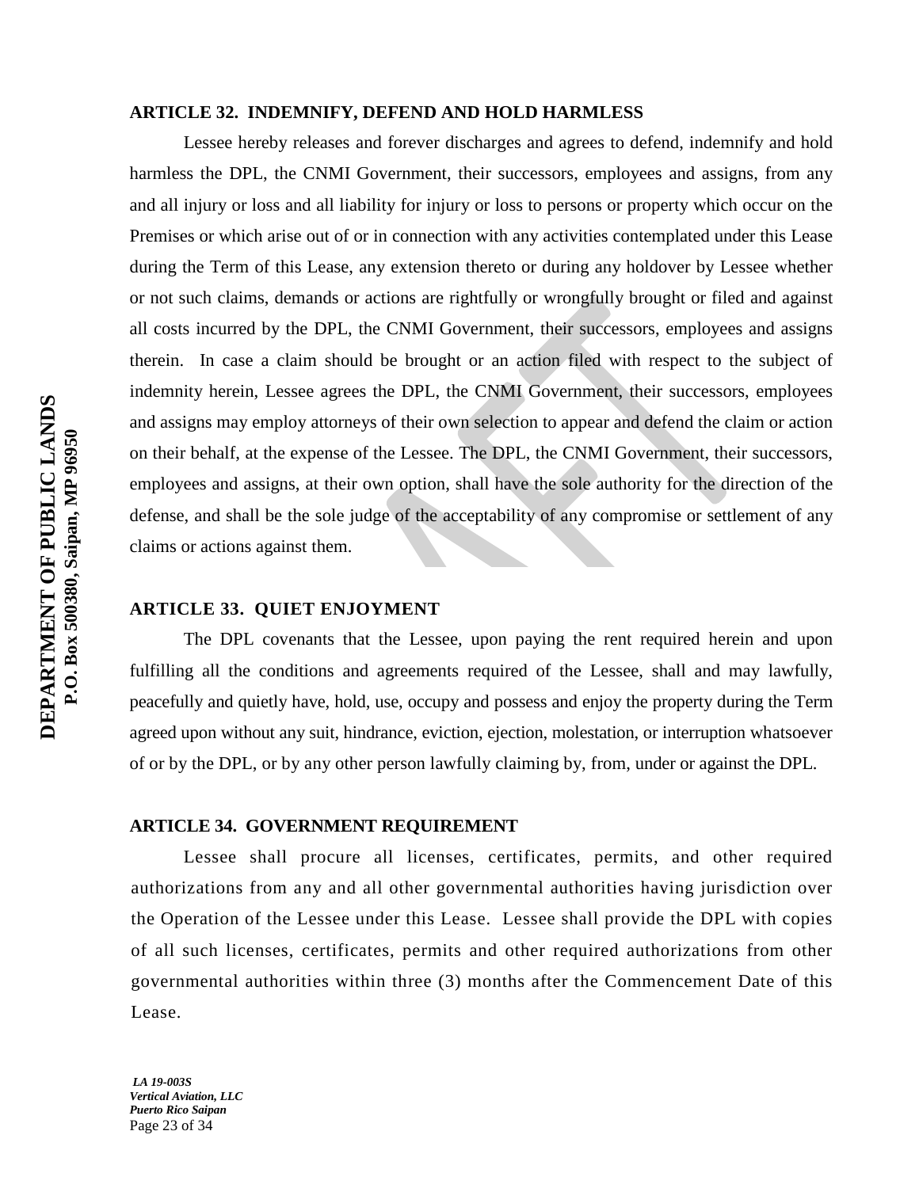## **ARTICLE 32. INDEMNIFY, DEFEND AND HOLD HARMLESS**

Lessee hereby releases and forever discharges and agrees to defend, indemnify and hold harmless the DPL, the CNMI Government, their successors, employees and assigns, from any and all injury or loss and all liability for injury or loss to persons or property which occur on the Premises or which arise out of or in connection with any activities contemplated under this Lease during the Term of this Lease, any extension thereto or during any holdover by Lessee whether or not such claims, demands or actions are rightfully or wrongfully brought or filed and against all costs incurred by the DPL, the CNMI Government, their successors, employees and assigns therein. In case a claim should be brought or an action filed with respect to the subject of indemnity herein, Lessee agrees the DPL, the CNMI Government, their successors, employees and assigns may employ attorneys of their own selection to appear and defend the claim or action on their behalf, at the expense of the Lessee. The DPL, the CNMI Government, their successors, employees and assigns, at their own option, shall have the sole authority for the direction of the defense, and shall be the sole judge of the acceptability of any compromise or settlement of any claims or actions against them.

## **ARTICLE 33. QUIET ENJOYMENT**

The DPL covenants that the Lessee, upon paying the rent required herein and upon fulfilling all the conditions and agreements required of the Lessee, shall and may lawfully, peacefully and quietly have, hold, use, occupy and possess and enjoy the property during the Term agreed upon without any suit, hindrance, eviction, ejection, molestation, or interruption whatsoever of or by the DPL, or by any other person lawfully claiming by, from, under or against the DPL.

## **ARTICLE 34. GOVERNMENT REQUIREMENT**

Lessee shall procure all licenses, certificates, permits, and other required authorizations from any and all other governmental authorities having jurisdiction over the Operation of the Lessee under this Lease. Lessee shall provide the DPL with copies of all such licenses, certificates, permits and other required authorizations from other governmental authorities within three (3) months after the Commencement Date of this Lease.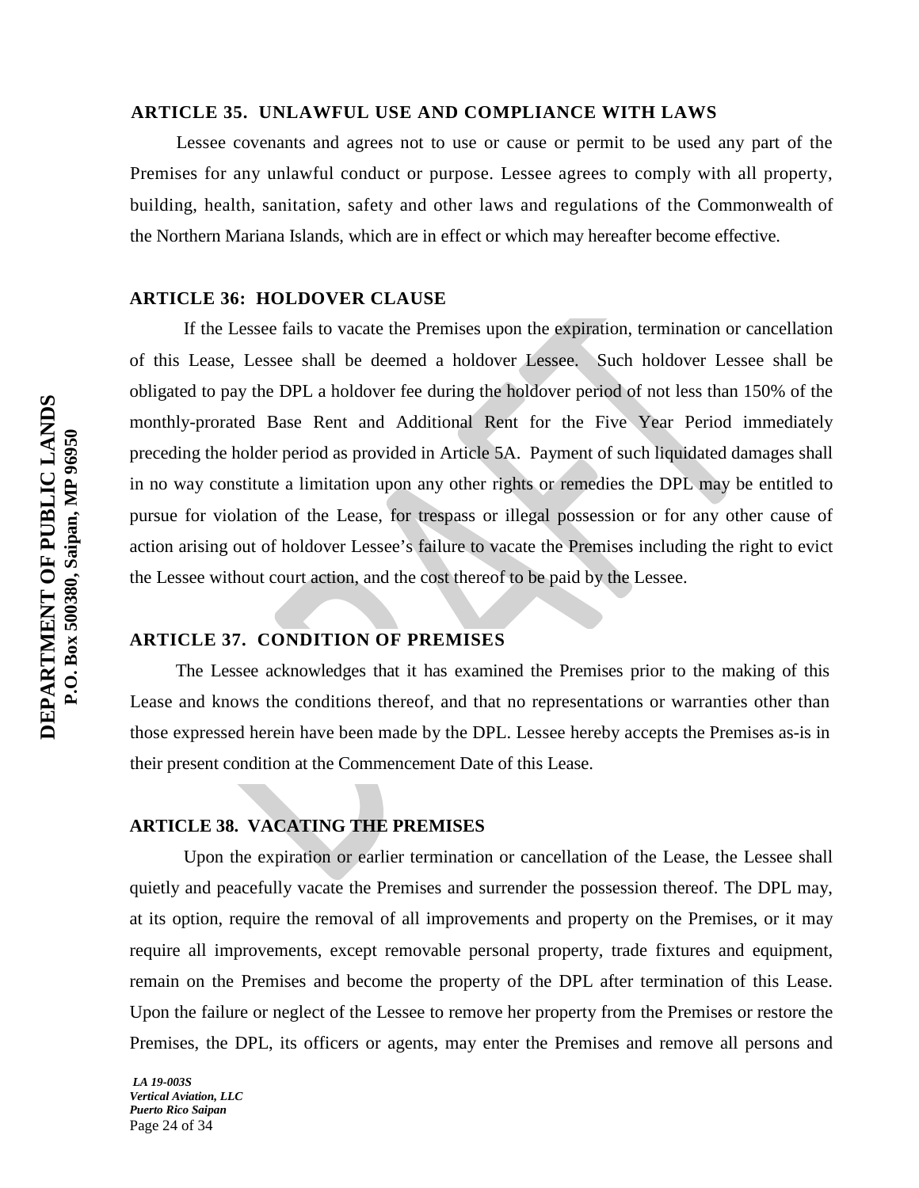#### **ARTICLE 35. UNLAWFUL USE AND COMPLIANCE WITH LAWS**

Lessee covenants and agrees not to use or cause or permit to be used any part of the Premises for any unlawful conduct or purpose. Lessee agrees to comply with all property, building, health, sanitation, safety and other laws and regulations of the Commonwealth of the Northern Mariana Islands, which are in effect or which may hereafter become effective.

## **ARTICLE 36: HOLDOVER CLAUSE**

If the Lessee fails to vacate the Premises upon the expiration, termination or cancellation of this Lease, Lessee shall be deemed a holdover Lessee. Such holdover Lessee shall be obligated to pay the DPL a holdover fee during the holdover period of not less than 150% of the monthly-prorated Base Rent and Additional Rent for the Five Year Period immediately preceding the holder period as provided in Article 5A. Payment of such liquidated damages shall in no way constitute a limitation upon any other rights or remedies the DPL may be entitled to pursue for violation of the Lease, for trespass or illegal possession or for any other cause of action arising out of holdover Lessee's failure to vacate the Premises including the right to evict the Lessee without court action, and the cost thereof to be paid by the Lessee.

## **ARTICLE 37. CONDITION OF PREMISES**

The Lessee acknowledges that it has examined the Premises prior to the making of this Lease and knows the conditions thereof, and that no representations or warranties other than those expressed herein have been made by the DPL. Lessee hereby accepts the Premises as-is in their present condition at the Commencement Date of this Lease.

## **ARTICLE 38. VACATING THE PREMISES**

Upon the expiration or earlier termination or cancellation of the Lease, the Lessee shall quietly and peacefully vacate the Premises and surrender the possession thereof. The DPL may, at its option, require the removal of all improvements and property on the Premises, or it may require all improvements, except removable personal property, trade fixtures and equipment, remain on the Premises and become the property of the DPL after termination of this Lease. Upon the failure or neglect of the Lessee to remove her property from the Premises or restore the Premises, the DPL, its officers or agents, may enter the Premises and remove all persons and

*LA 19-003S Vertical Aviation, LLC Puerto Rico Saipan* Page 24 of 34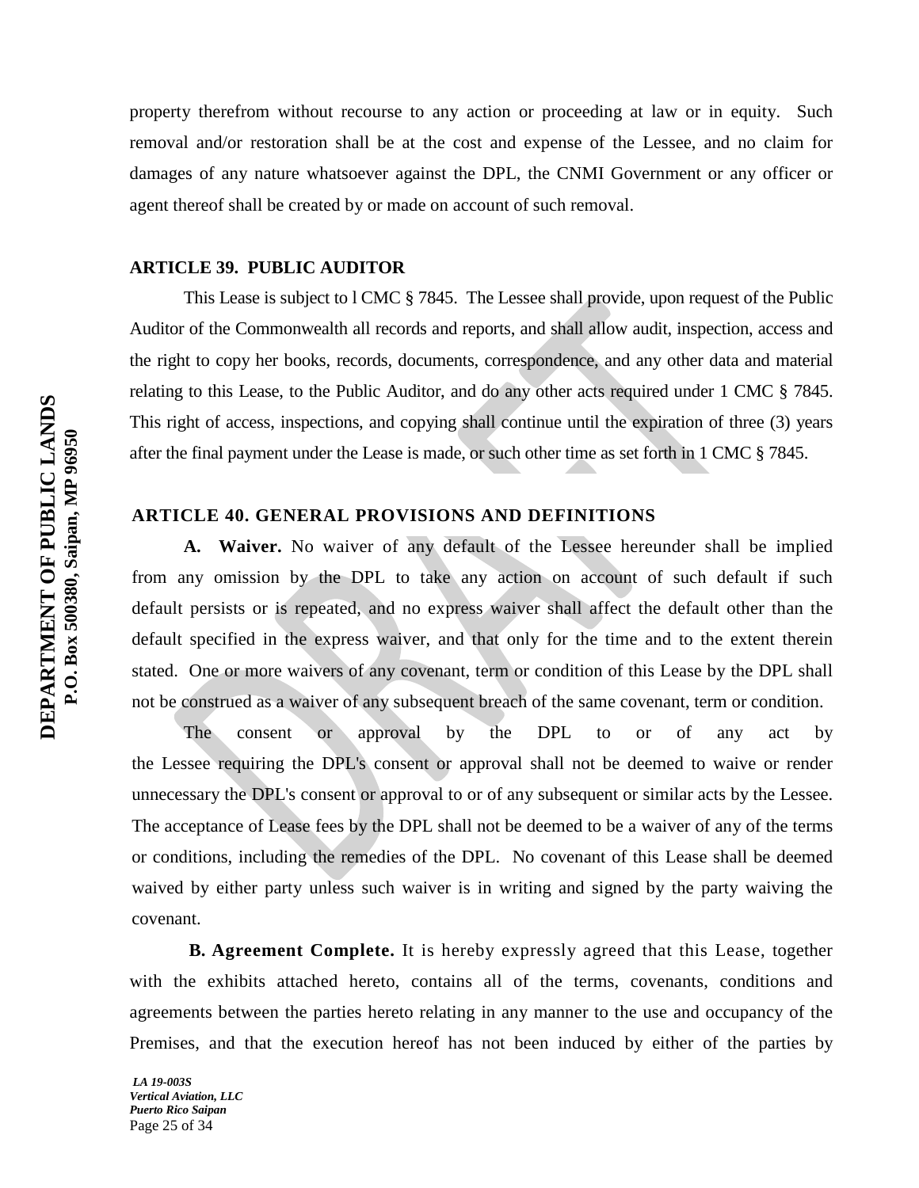property therefrom without recourse to any action or proceeding at law or in equity. Such removal and/or restoration shall be at the cost and expense of the Lessee, and no claim for damages of any nature whatsoever against the DPL, the CNMI Government or any officer or agent thereof shall be created by or made on account of such removal.

## **ARTICLE 39. PUBLIC AUDITOR**

This Lease is subject to l CMC § 7845. The Lessee shall provide, upon request of the Public Auditor of the Commonwealth all records and reports, and shall allow audit, inspection, access and the right to copy her books, records, documents, correspondence, and any other data and material relating to this Lease, to the Public Auditor, and do any other acts required under 1 CMC § 7845. This right of access, inspections, and copying shall continue until the expiration of three (3) years after the final payment under the Lease is made, or such other time as set forth in 1 CMC § 7845.

## **ARTICLE 40. GENERAL PROVISIONS AND DEFINITIONS**

**A. Waiver.** No waiver of any default of the Lessee hereunder shall be implied from any omission by the DPL to take any action on account of such default if such default persists or is repeated, and no express waiver shall affect the default other than the default specified in the express waiver, and that only for the time and to the extent therein stated. One or more waivers of any covenant, term or condition of this Lease by the DPL shall not be construed as a waiver of any subsequent breach of the same covenant, term or condition.

The consent or approval by the DPL to or of any act by the Lessee requiring the DPL's consent or approval shall not be deemed to waive or render unnecessary the DPL's consent or approval to or of any subsequent or similar acts by the Lessee. The acceptance of Lease fees by the DPL shall not be deemed to be a waiver of any of the terms or conditions, including the remedies of the DPL. No covenant of this Lease shall be deemed waived by either party unless such waiver is in writing and signed by the party waiving the covenant.

 **B. Agreement Complete.** It is hereby expressly agreed that this Lease, together with the exhibits attached hereto, contains all of the terms, covenants, conditions and agreements between the parties hereto relating in any manner to the use and occupancy of the Premises, and that the execution hereof has not been induced by either of the parties by

*LA 19-003S Vertical Aviation, LLC Puerto Rico Saipan* Page 25 of 34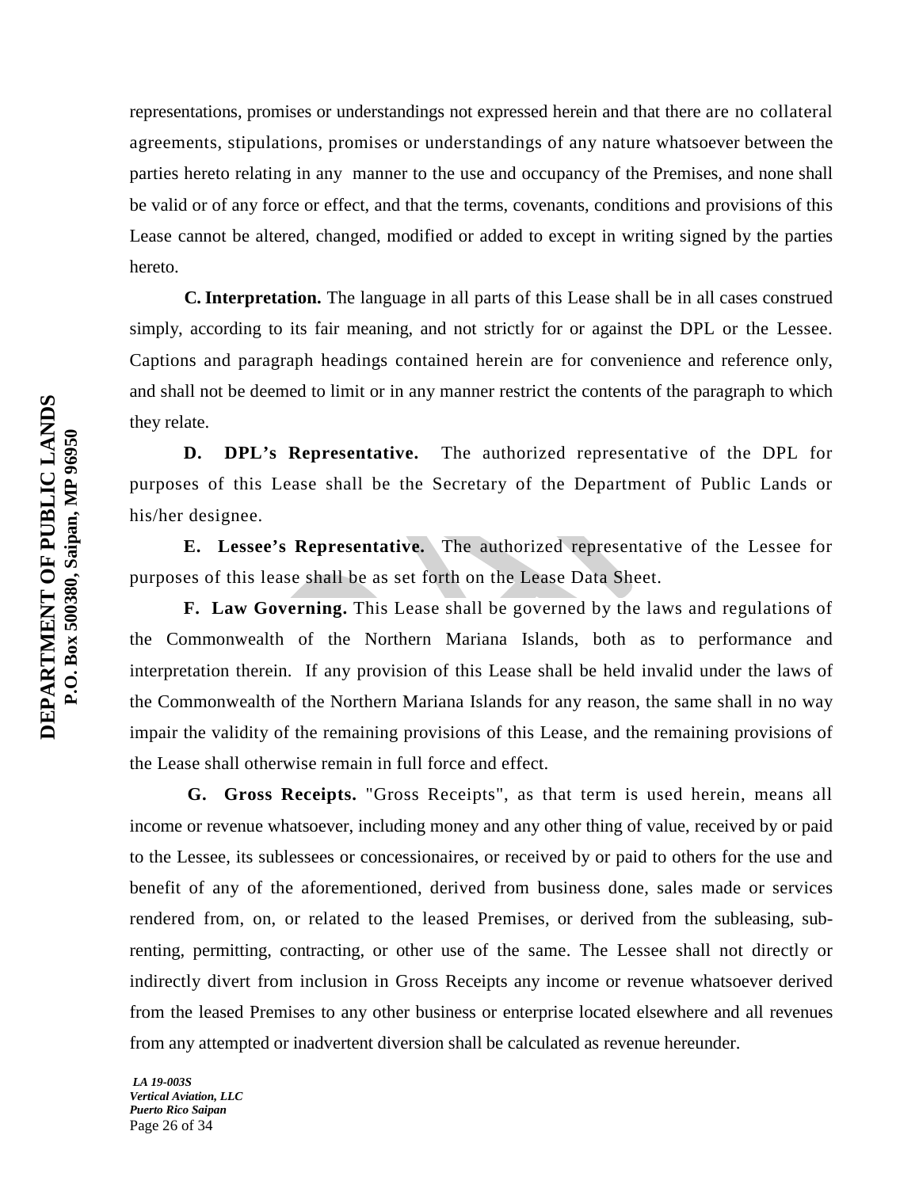representations, promises or understandings not expressed herein and that there are no collateral agreements, stipulations, promises or understandings of any nature whatsoever between the parties hereto relating in any manner to the use and occupancy of the Premises, and none shall be valid or of any force or effect, and that the terms, covenants, conditions and provisions of this Lease cannot be altered, changed, modified or added to except in writing signed by the parties hereto.

 **C. Interpretation.** The language in all parts of this Lease shall be in all cases construed simply, according to its fair meaning, and not strictly for or against the DPL or the Lessee. Captions and paragraph headings contained herein are for convenience and reference only, and shall not be deemed to limit or in any manner restrict the contents of the paragraph to which they relate.

**D. DPL's Representative.** The authorized representative of the DPL for purposes of this Lease shall be the Secretary of the Department of Public Lands or his/her designee.

**E. Lessee's Representative.** The authorized representative of the Lessee for purposes of this lease shall be as set forth on the Lease Data Sheet.

**F. Law Governing.** This Lease shall be governed by the laws and regulations of the Commonwealth of the Northern Mariana Islands, both as to performance and interpretation therein. If any provision of this Lease shall be held invalid under the laws of the Commonwealth of the Northern Mariana Islands for any reason, the same shall in no way impair the validity of the remaining provisions of this Lease, and the remaining provisions of the Lease shall otherwise remain in full force and effect.

 **G. Gross Receipts.** "Gross Receipts", as that term is used herein, means all income or revenue whatsoever, including money and any other thing of value, received by or paid to the Lessee, its sublessees or concessionaires, or received by or paid to others for the use and benefit of any of the aforementioned, derived from business done, sales made or services rendered from, on, or related to the leased Premises, or derived from the subleasing, subrenting, permitting, contracting, or other use of the same. The Lessee shall not directly or indirectly divert from inclusion in Gross Receipts any income or revenue whatsoever derived from the leased Premises to any other business or enterprise located elsewhere and all revenues from any attempted or inadvertent diversion shall be calculated as revenue hereunder.

*LA 19-003S Vertical Aviation, LLC Puerto Rico Saipan* Page 26 of 34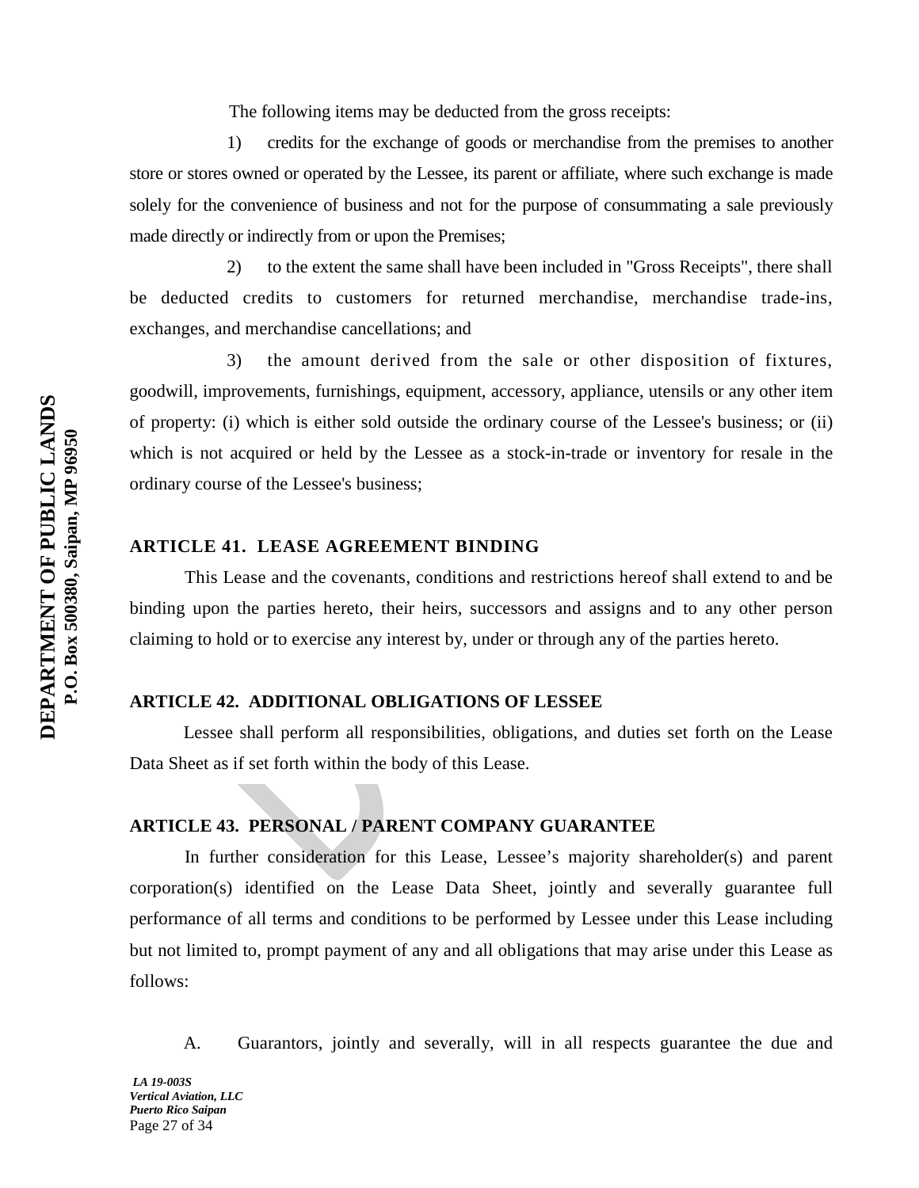The following items may be deducted from the gross receipts:

1) credits for the exchange of goods or merchandise from the premises to another store or stores owned or operated by the Lessee, its parent or affiliate, where such exchange is made solely for the convenience of business and not for the purpose of consummating a sale previously made directly or indirectly from or upon the Premises;

2) to the extent the same shall have been included in "Gross Receipts", there shall be deducted credits to customers for returned merchandise, merchandise trade-ins, exchanges, and merchandise cancellations; and

3) the amount derived from the sale or other disposition of fixtures, goodwill, improvements, furnishings, equipment, accessory, appliance, utensils or any other item of property: (i) which is either sold outside the ordinary course of the Lessee's business; or (ii) which is not acquired or held by the Lessee as a stock-in-trade or inventory for resale in the ordinary course of the Lessee's business;

## **ARTICLE 41. LEASE AGREEMENT BINDING**

This Lease and the covenants, conditions and restrictions hereof shall extend to and be binding upon the parties hereto, their heirs, successors and assigns and to any other person claiming to hold or to exercise any interest by, under or through any of the parties hereto.

## **ARTICLE 42. ADDITIONAL OBLIGATIONS OF LESSEE**

Lessee shall perform all responsibilities, obligations, and duties set forth on the Lease Data Sheet as if set forth within the body of this Lease.

## **ARTICLE 43. PERSONAL / PARENT COMPANY GUARANTEE**

In further consideration for this Lease, Lessee's majority shareholder(s) and parent corporation(s) identified on the Lease Data Sheet, jointly and severally guarantee full performance of all terms and conditions to be performed by Lessee under this Lease including but not limited to, prompt payment of any and all obligations that may arise under this Lease as follows:

A. Guarantors, jointly and severally, will in all respects guarantee the due and

*LA 19-003S Vertical Aviation, LLC Puerto Rico Saipan* Page 27 of 34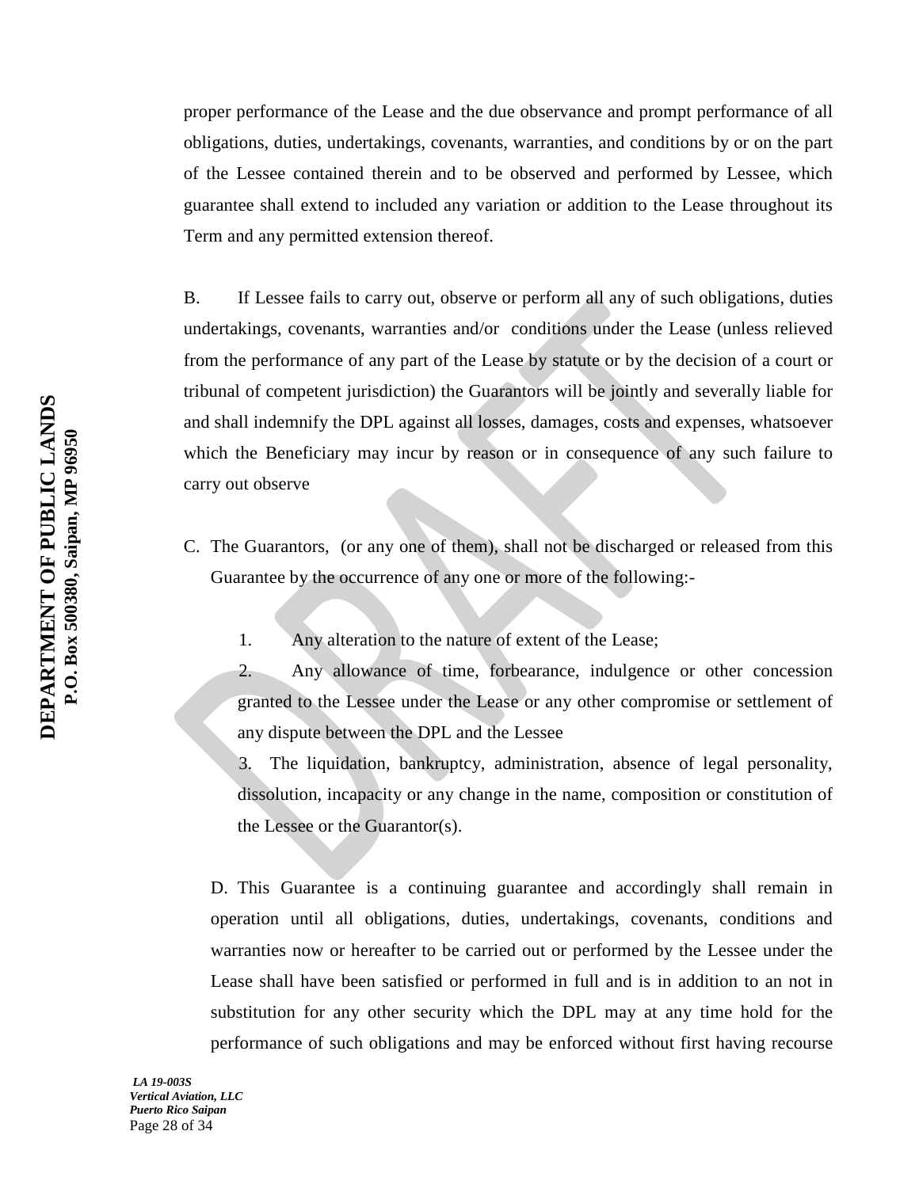proper performance of the Lease and the due observance and prompt performance of all obligations, duties, undertakings, covenants, warranties, and conditions by or on the part of the Lessee contained therein and to be observed and performed by Lessee, which guarantee shall extend to included any variation or addition to the Lease throughout its Term and any permitted extension thereof.

B. If Lessee fails to carry out, observe or perform all any of such obligations, duties undertakings, covenants, warranties and/or conditions under the Lease (unless relieved from the performance of any part of the Lease by statute or by the decision of a court or tribunal of competent jurisdiction) the Guarantors will be jointly and severally liable for and shall indemnify the DPL against all losses, damages, costs and expenses, whatsoever which the Beneficiary may incur by reason or in consequence of any such failure to carry out observe

- C. The Guarantors, (or any one of them), shall not be discharged or released from this Guarantee by the occurrence of any one or more of the following:-
	- 1. Any alteration to the nature of extent of the Lease;

2. Any allowance of time, forbearance, indulgence or other concession granted to the Lessee under the Lease or any other compromise or settlement of any dispute between the DPL and the Lessee

3. The liquidation, bankruptcy, administration, absence of legal personality, dissolution, incapacity or any change in the name, composition or constitution of the Lessee or the Guarantor(s).

D. This Guarantee is a continuing guarantee and accordingly shall remain in operation until all obligations, duties, undertakings, covenants, conditions and warranties now or hereafter to be carried out or performed by the Lessee under the Lease shall have been satisfied or performed in full and is in addition to an not in substitution for any other security which the DPL may at any time hold for the performance of such obligations and may be enforced without first having recourse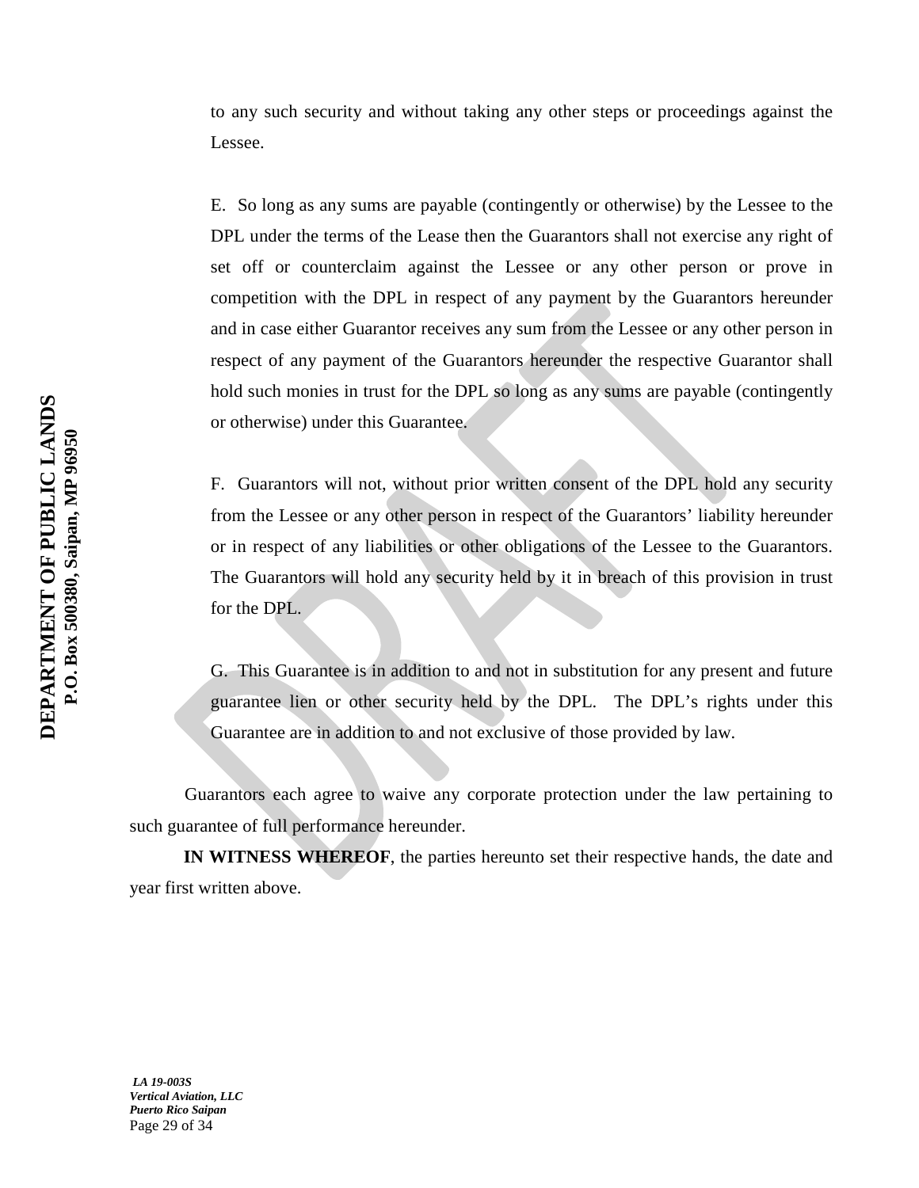to any such security and without taking any other steps or proceedings against the Lessee.

E. So long as any sums are payable (contingently or otherwise) by the Lessee to the DPL under the terms of the Lease then the Guarantors shall not exercise any right of set off or counterclaim against the Lessee or any other person or prove in competition with the DPL in respect of any payment by the Guarantors hereunder and in case either Guarantor receives any sum from the Lessee or any other person in respect of any payment of the Guarantors hereunder the respective Guarantor shall hold such monies in trust for the DPL so long as any sums are payable (contingently or otherwise) under this Guarantee.

F. Guarantors will not, without prior written consent of the DPL hold any security from the Lessee or any other person in respect of the Guarantors' liability hereunder or in respect of any liabilities or other obligations of the Lessee to the Guarantors. The Guarantors will hold any security held by it in breach of this provision in trust for the DPL.

G. This Guarantee is in addition to and not in substitution for any present and future guarantee lien or other security held by the DPL. The DPL's rights under this Guarantee are in addition to and not exclusive of those provided by law.

Guarantors each agree to waive any corporate protection under the law pertaining to such guarantee of full performance hereunder.

**IN WITNESS WHEREOF**, the parties hereunto set their respective hands, the date and year first written above.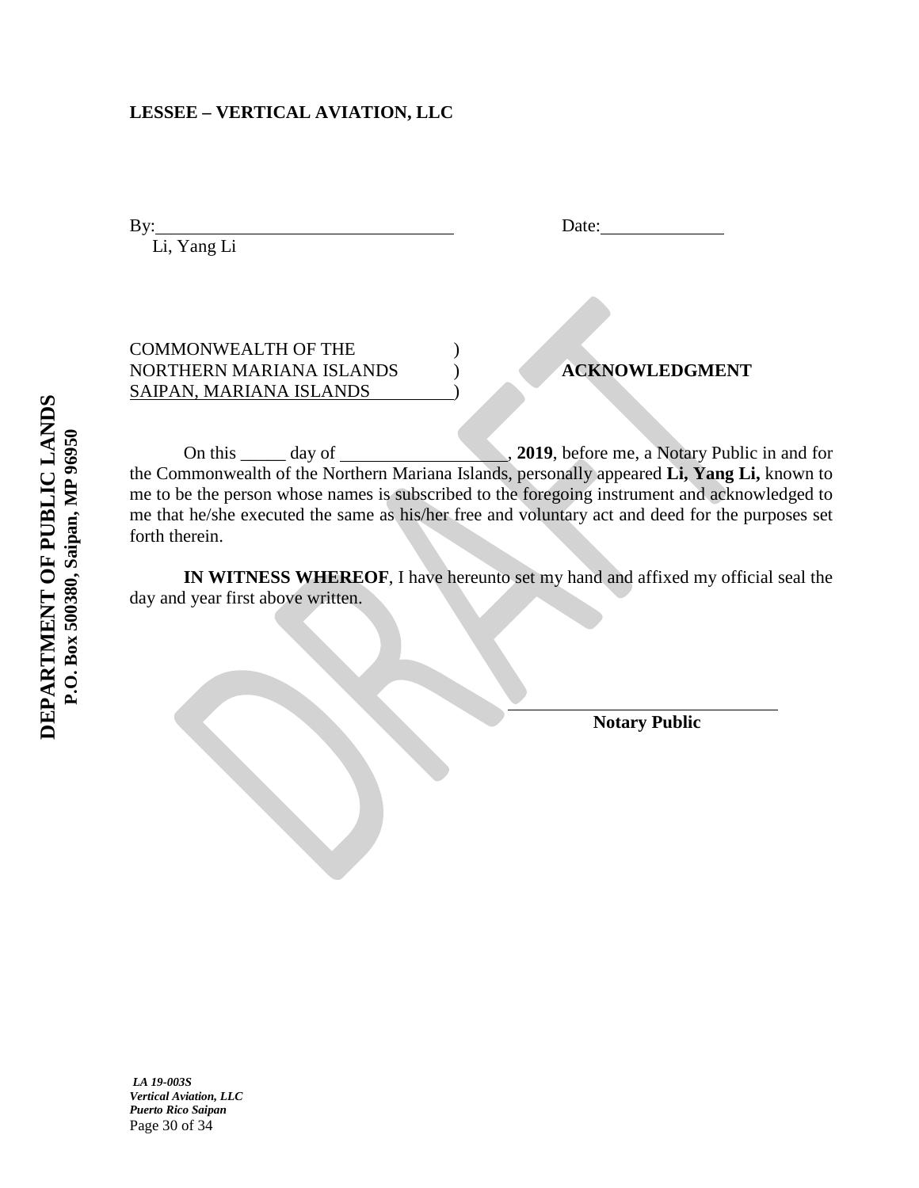## **LESSEE – VERTICAL AVIATION, LLC**

By: Date: Li, Yang Li

| <b>COMMONWEALTH OF THE</b> |                       |
|----------------------------|-----------------------|
| NORTHERN MARIANA ISLANDS   | <b>ACKNOWLEDGMENT</b> |
| SAIPAN, MARIANA ISLANDS    |                       |

On this \_\_\_\_\_ day of , **2019**, before me, a Notary Public in and for the Commonwealth of the Northern Mariana Islands, personally appeared **Li, Yang Li,** known to me to be the person whose names is subscribed to the foregoing instrument and acknowledged to me that he/she executed the same as his/her free and voluntary act and deed for the purposes set forth therein.

**IN WITNESS WHEREOF**, I have hereunto set my hand and affixed my official seal the day and year first above written.

 **Notary Public**

*LA 19-003S Vertical Aviation, LLC Puerto Rico Saipan* Page 30 of 34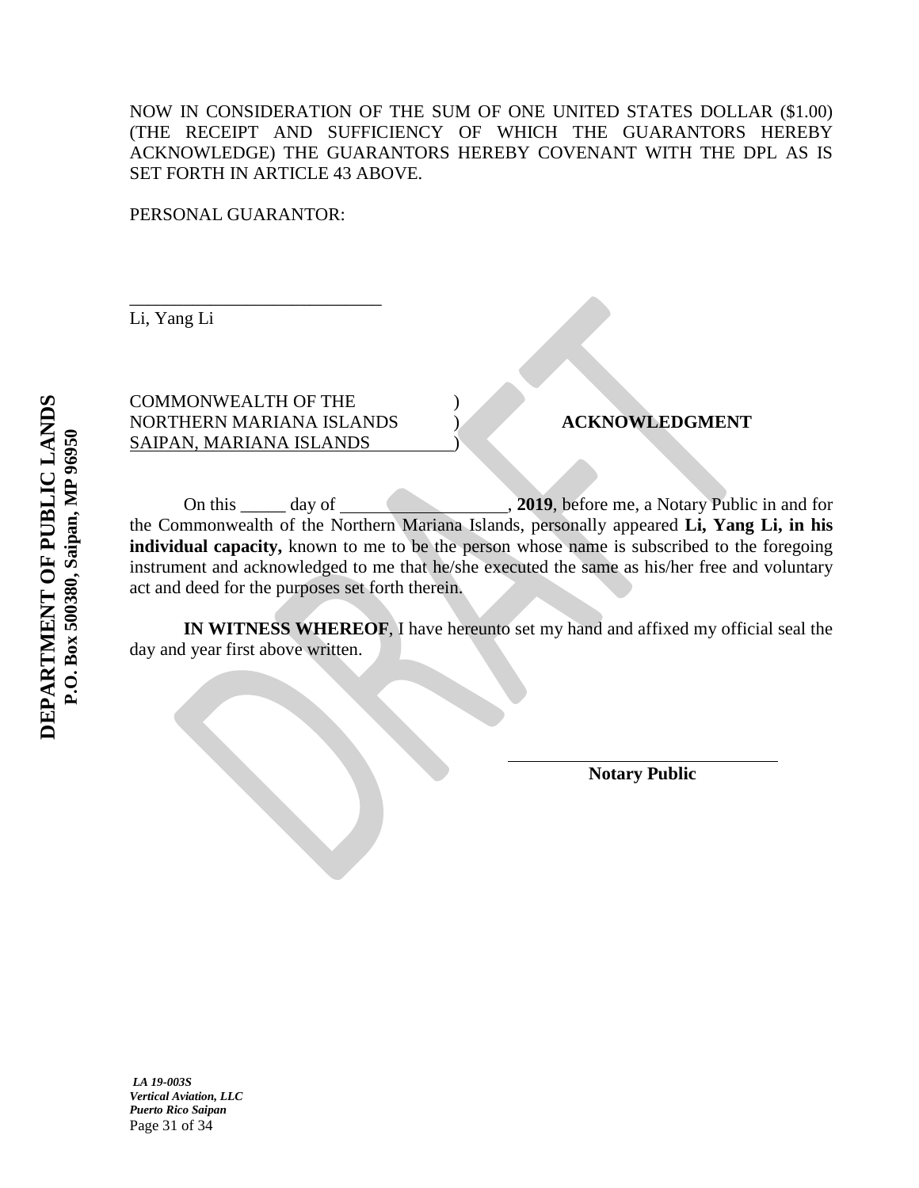NOW IN CONSIDERATION OF THE SUM OF ONE UNITED STATES DOLLAR (\$1.00) (THE RECEIPT AND SUFFICIENCY OF WHICH THE GUARANTORS HEREBY ACKNOWLEDGE) THE GUARANTORS HEREBY COVENANT WITH THE DPL AS IS SET FORTH IN ARTICLE 43 ABOVE.

PERSONAL GUARANTOR:

Li, Yang Li

COMMONWEALTH OF THE ) NORTHERN MARIANA ISLANDS ) **ACKNOWLEDGMENT** SAIPAN, MARIANA ISLANDS )

\_\_\_\_\_\_\_\_\_\_\_\_\_\_\_\_\_\_\_\_\_\_\_\_\_\_\_\_

On this day of , **2019**, before me, a Notary Public in and for the Commonwealth of the Northern Mariana Islands, personally appeared **Li, Yang Li, in his** individual capacity, known to me to be the person whose name is subscribed to the foregoing instrument and acknowledged to me that he/she executed the same as his/her free and voluntary act and deed for the purposes set forth therein.

**IN WITNESS WHEREOF**, I have hereunto set my hand and affixed my official seal the day and year first above written.

 **Notary Public**

*LA 19-003S Vertical Aviation, LLC Puerto Rico Saipan* Page 31 of 34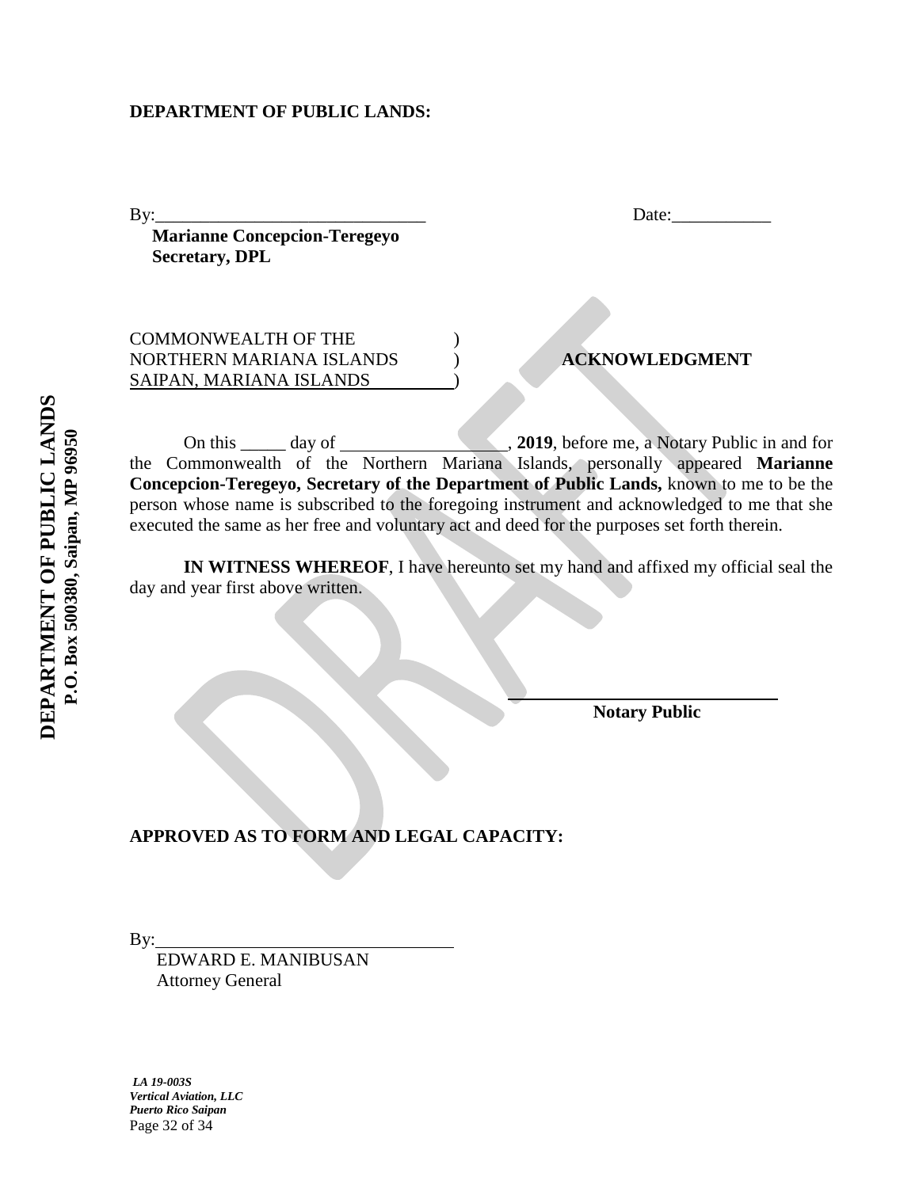## **DEPARTMENT OF PUBLIC LANDS:**

By: Date:

 **Marianne Concepcion-Teregeyo Secretary, DPL**

COMMONWEALTH OF THE ) NORTHERN MARIANA ISLANDS ) **ACKNOWLEDGMENT** SAIPAN, MARIANA ISLANDS )

On this \_\_\_\_\_ day of , **2019**, before me, a Notary Public in and for the Commonwealth of the Northern Mariana Islands, personally appeared **Marianne Concepcion-Teregeyo, Secretary of the Department of Public Lands,** known to me to be the person whose name is subscribed to the foregoing instrument and acknowledged to me that she executed the same as her free and voluntary act and deed for the purposes set forth therein.

**IN WITNESS WHEREOF**, I have hereunto set my hand and affixed my official seal the day and year first above written.

**Notary Public**

**APPROVED AS TO FORM AND LEGAL CAPACITY:**

By:

 EDWARD E. MANIBUSAN Attorney General

*LA 19-003S Vertical Aviation, LLC Puerto Rico Saipan* Page 32 of 34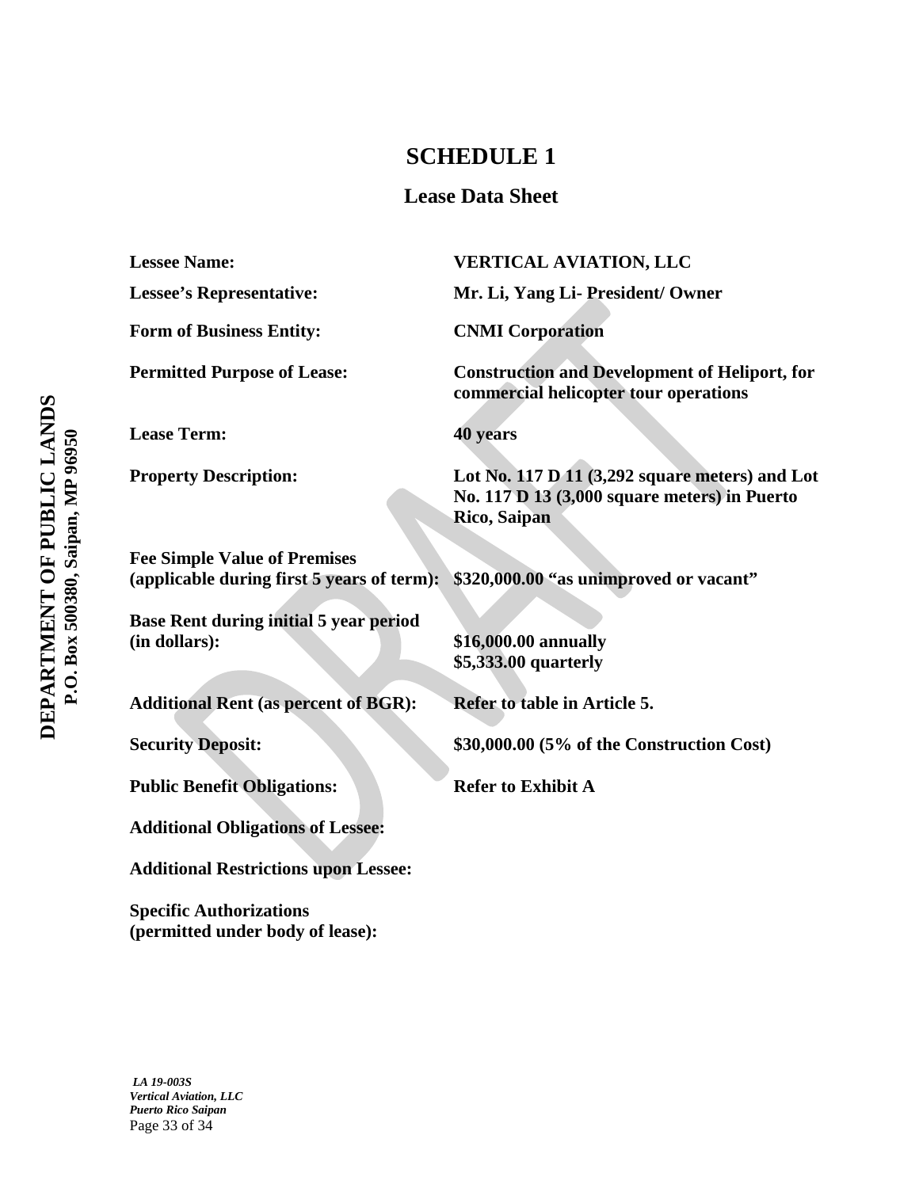## **SCHEDULE 1**

## **Lease Data Sheet**

**Lessee Name: VERTICAL AVIATION, LLC Lessee's Representative: Mr. Li, Yang Li- President/ Owner** Form of Business Entity: **CNMI Corporation Permitted Purpose of Lease: Construction and Development of Heliport, for commercial helicopter tour operations Lease Term: 40 years Property Description:** Lot No. 117 D 11 (3,292 square meters) and Lot **No. 117 D 13 (3,000 square meters) in Puerto Rico, Saipan Fee Simple Value of Premises (applicable during first 5 years of term): \$320,000.00 "as unimproved or vacant" Base Rent during initial 5 year period (in dollars): \$16,000.00 annually \$5,333.00 quarterly** Additional Rent (as percent of BGR): Refer to table in Article 5. **Security Deposit:** \$30,000.00 **(5% of the Construction Cost)** Public Benefit Obligations: Refer to Exhibit A **Additional Obligations of Lessee: Additional Restrictions upon Lessee: Specific Authorizations (permitted under body of lease):**

*LA 19-003S Vertical Aviation, LLC Puerto Rico Saipan* Page 33 of 34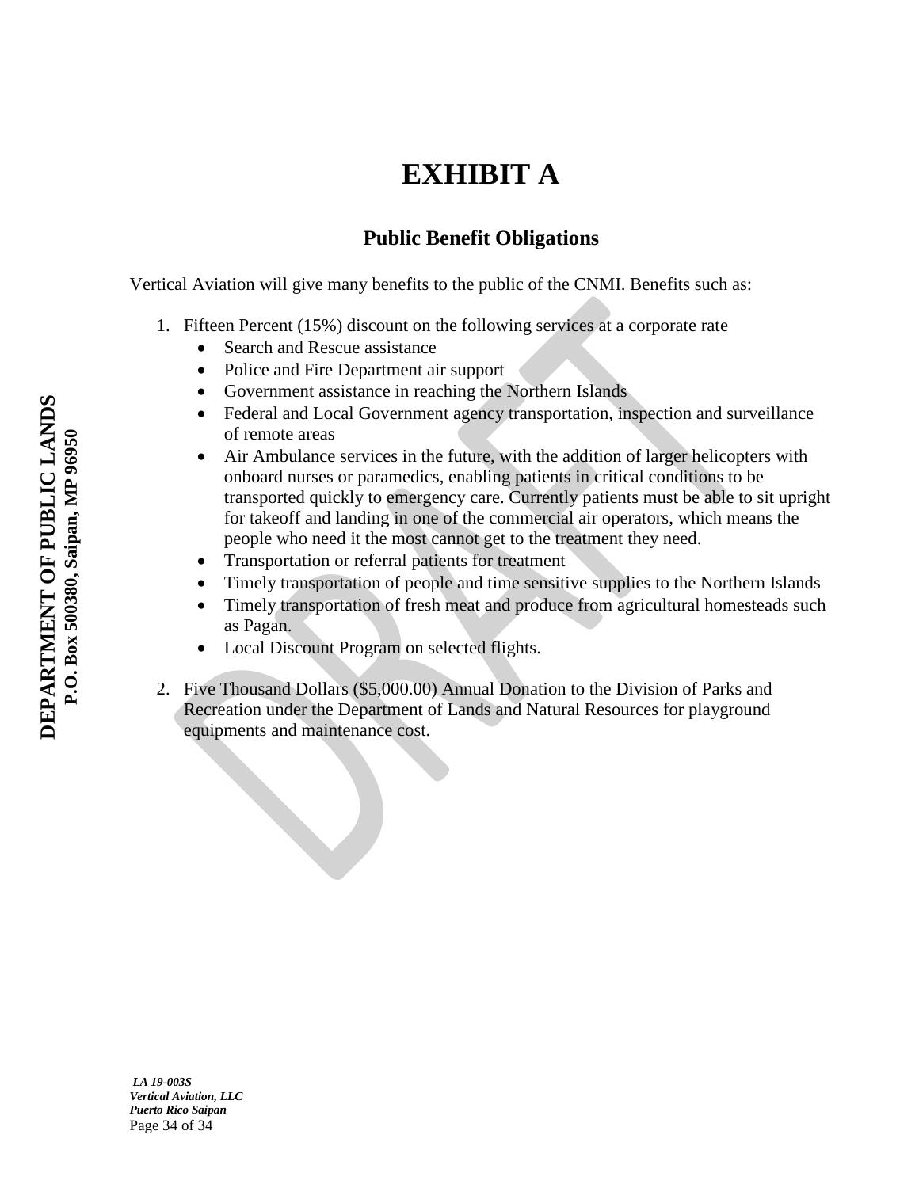# **EXHIBIT A**

## **Public Benefit Obligations**

Vertical Aviation will give many benefits to the public of the CNMI. Benefits such as:

- 1. Fifteen Percent (15%) discount on the following services at a corporate rate
	- Search and Rescue assistance
	- Police and Fire Department air support
	- Government assistance in reaching the Northern Islands
	- Federal and Local Government agency transportation, inspection and surveillance of remote areas
	- Air Ambulance services in the future, with the addition of larger helicopters with onboard nurses or paramedics, enabling patients in critical conditions to be transported quickly to emergency care. Currently patients must be able to sit upright for takeoff and landing in one of the commercial air operators, which means the people who need it the most cannot get to the treatment they need.
	- Transportation or referral patients for treatment
	- Timely transportation of people and time sensitive supplies to the Northern Islands
	- Timely transportation of fresh meat and produce from agricultural homesteads such as Pagan.
	- Local Discount Program on selected flights.
- 2. Five Thousand Dollars (\$5,000.00) Annual Donation to the Division of Parks and Recreation under the Department of Lands and Natural Resources for playground equipments and maintenance cost.

*LA 19-003S Vertical Aviation, LLC Puerto Rico Saipan* Page 34 of 34